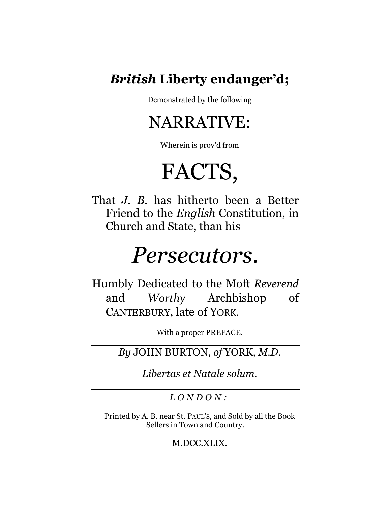### *British* **Liberty endanger'd;**

Dcmonstrated by the following

## NARRATIVE:

Wherein is prov'd from

# FACTS,

That *J. B.* has hitherto been a Better Friend to the *English* Constitution, in Church and State, than his

## *Persecutors.*

Humbly Dedicated to the Moft *Reverend*  and *Worthy* Archbishop of CANTERBURY, late of YORK.

With a proper PREFACE.

*By* JOHN BURTON, *of* YORK, *M.D.*

*Libertas et Natale solum.*

*L O N D O N :*

Printed by A. B. near St. PAUL'S, and Sold by all the Book Sellers in Town and Country.

M.DCC.XLIX.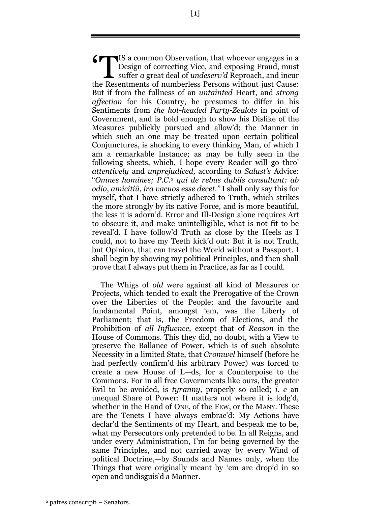IS a common Observation, that whoever engages in a<br>Design of correcting Vice, and exposing Fraud, must<br>suffer a great deal of *undeserv'd* Reproach, and incur Design of correcting Vice, and exposing Fraud, must suffer *a* great deal of *undeserv'd* Reproach, and incur the Resentments of numberless Persons without just Cause: But if from the fullness of an *untainted* Heart, and *strong affection* for his Country, he presumes to differ in his Sentiments from *the hot-headed Party-Zealots* in point of Government, and is bold enough to show his Dislike of the Measures publickly pursued and allow'd; the Manner in which such an one may be treated upon certain political Conjunctures, is shocking to every thinking Man, of which I am a remarkable lnstance; as may be fully seen in the following sheets, which, I hope every Reader will go thro' *attentively* and *unprejudiced,* according to *Salust's* Advice: "*Omnes homines; P.C. <sup>a</sup> qui de rebus dubiis consultant: ab odio*, *amicitiû*, *ira vacuos esse decet."* I shall only say this for myself, that I have strictly adhered to Truth, which strikes the more strongly by its native Force, and is more beautiful, the less it is adorn'd. Error and Ill-Design alone requires Art to obscure it, and make unintelligible, what is not fit to be reveal'd. I have follow'd Truth as close by the Heels as I could, not to have my Teeth kick'd out: But it is not Truth, but Opinion, that can travel the World without a Passport. I shall begin by showing my political Principles, and then shall prove that I always put them in Practice, as far as I could.

The Whigs of *old* were against all kind *o*f Measures or Projects, which tended to exalt the Prerogative of the Crown over the Liberties of the People; and the fav*o*urite and fundamental Point, amongst 'em, was the Liberty of Parliament; that is, the Freedom of Elections, and the Prohibition of *all Influence,* except that of *Reason* in the House of Commons. This they did, no doubt, with a View to preserve the Ballance of Power, which is of such absolute Necessity in a limited State, that *Cromwel* himself (before he had perfectly confirm'd his arbitrary Power) was forced to create a new House of L—ds, for a Counterpoise to the Commons. For in all free Governments like ours, the greater Evil to be avoided, is *tyranny,* properly so called; *i. e* an unequal Share of Power: It matters not where it is lodg'd, whether in the Hand of ONE, of the FEW, or the MANY. These are the Tenets I have always embrac'd: My Actions have declar'd the Sentiments of my Heart, and bespeak me to be, what my Persecutors only pretended to be. In all Reigns, and under every Administration, I'm for being governed by the same Principles, and not carried away by every Wind of political Doctrine,—by S*o*unds and Names only, when the Things that were originally meant by 'em are drop'd in so open and undisguis'd a Manner.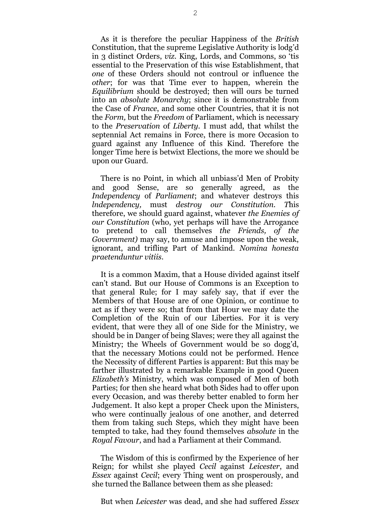As it is therefore the peculiar Happiness of the *British* Constitution, that the supreme Legislative Authority is lodg'd in 3 distinct Orders, *viz.* King, Lords, and Commons, so 'tis essential to the Preservation of this wise Establishment, that *one* of these Orders should not controul or influence the *other*; for was that Time ever to happen, wherein the *Equilibrium* should be destroyed; then will ours be turned into an *absolute Monarchy*; since it is demonstrable from the Case of *France*, and some other Countries, that it is not the *Form,* but the *Freedom* of Parliament, which is necessary to the *Preservation* of *Liberty.* I must add, that whilst the septennial Act remains in F*o*rce, there is more Occasion to guard against any Influence of this Kind. Therefore the longer Time here is betwixt Elections, the more we should be upon our Guard.

There is no Point, in which all unbiass'd Men of Probity and good Sense, are so generally agreed, as the *Independency* of *Parliament*; and whatever destroys this *lndependency,* must *destroy our Constitution. T*his therefore, we should guard against, whatever *the Enemies of our Constitution* (who, yet perhaps will have the Arrogance to pretend to call themselves *the Friends, of the Government)* may say, to amuse and impose upon the weak, ignorant, and trifling Part of Mankind. *Nomina honesta praetenduntur vitiis.*

It is a common Maxim, that a House divided against itself can't stand. But our House of Commons is an Exception to that general Rule; for I may safely say, that if ever the Members of that House are of one Opinion, or continue to act as if they were so; that from that Hour we may date the Completion of the Ruin of our Liberties. For it is very evident, that were they all of one Side for the Ministry, we should be in Danger of being Slaves; were they all against the Ministry; the Wheels of Government would be so dogg'd, that the necessary Motions could not be performed. Hence the Necessity of different Parties is apparent: But this may be farther illustrated by a remarkable Example in good Queen *Elizabeth's* Ministry, which was composed of Men of both Parties; for then she heard what both Sides had to offer upon every Occasion, and was thereby better enabled to form her Judgement. It also kept a proper Check upon the Ministers, who were continually jealous of one another, and deterred them from taking such Steps, which they might have been tempted to take, had they found themselves *absolute* in the *Royal Favour*, and had a Parliament at their Command.

The Wisdom of this is confirmed by the Experience of her Reign; for whilst she played *Cecil* against *Leicester*, and *Essex* against *Cecil*; every Thing went on prosperously, and she turned the Ballance between them as she pleased:

But when *Leicester* was dead, and she had suffered *Essex*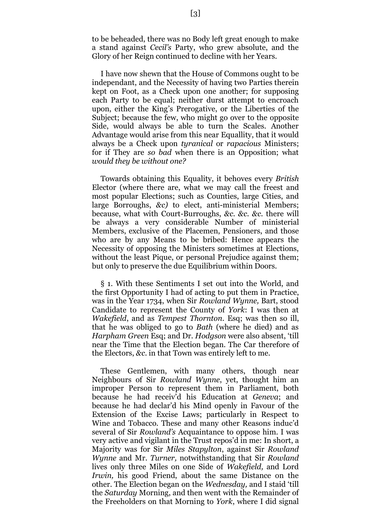to be beheaded, there was no Body left great enough to make a stand against *Cecil's* Party, who grew absolute, and the Glory of her Reign continued to decline with her Years.

I have now shewn that the House of Commons ought to be independant, and the Necessity of having two Parties therein kept on Foot, as a Check upon one another; for supposing each Party to be equal; neither durst attempt to encroach upon, either the King's Prerogative, or the Liberties of the Subject; because the few, who might go over to the opposite Side, would always be able to turn the Scales. Another Advantage would arise from this near Equallity, that it would always be a Check upon *tyranical* or *rapacious* Ministers; for if They are *so bad* when there is an Opposition; what *would they be without one?*

Towards obtaining this Equality, it behoves every *British*  Elector (where there are, what we may call the freest and most popular Elections; such as Counties, large Cities, and large Borroughs, *&c)* to elect, anti-ministerial Members; because, what with Court-Burroughs, *&c. &c. &c.* there will be always a very considerable Number of ministerial Members, exclusive of the Placemen, Pensioners, and those who are by any Means to be bribed: Hence appears the Necessity of opposing the Ministers sometimes at Elections, without the least Pique, or personal Prejudice against them; but only to preserve the due Equilibrium within Doors.

§ 1. With these Sentiments I set out into the World, and the first Opportunity I had of acting to put them in Practice, was in the Year 1734, when Sir *Rowland Wynne,* Bart, stood Candidate to represent the County of *York*: I was then at *Wakefield*, and as *Tempest Thornton.* Esq; was then so ill, that he was obliged to go to *Bath* (where he died) and as *Harpham Green* Esq; and Dr. *Hodgson* were also absent, 'till near the Time that the Election began. The Car therefore of the Electors, *&c*. in that Town was entirely left to me.

These Gentlemen, with many others, though near Neighbours of Sir *Rowland Wynne*, yet, thought him an improper Person to represent them in Parliament, both because he had receiv'd his Education at *Geneva*; and because he had declar'd his Mind openly in Favour of the Extension of the Excise Laws; particularly in Respect to Wine and Tobacco. These and many other Reasons induc'd several of Sir *Rowland's* Acquaintance to oppose him. I was very active and vigilant in the Trust repos'd in me: In short, a Majority was for Sir *Miles Stapylton*, against Sir *Rowland Wynne* and Mr. *Turner,* notwithstanding that Sir *Rowland* lives only three Miles on one Side of *Wakefield,* and Lord *Irwin,* his good Friend, about the same Distance on the other. The Election began on the *Wednesday,* and I staid 'till the *Saturday* Morning, and then went with the Remainder of the Freeholders on that Morning to *York*, where I did signal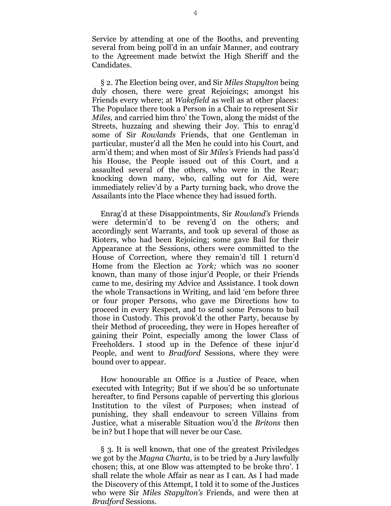Service by attending at one of the Booths, and preventing several from being poll'd in an unfair Manner, and contrary to the Agreement made betwixt the High Sheriff and the Candidates.

§ 2. *T*he Election being over, and Sir *Miles Stapylton* being duly chosen, there were great Rejoicings; amongst his Friends every where; at *Wakefield* as well as at other places: The Populace there took a Person in a Chair to represent Sir *Miles,* and carried him thro' the Town, along the midst of the Streets, huzzaing and shewing their Joy. This to enrag'd some of Sir *Rowlands* Friends, that one Gentleman in particular, muster'd all the Men he could into his Court, and arm'd them; and when most of Sir *Miles's* Friends had pass'd his House, the People issued out of this Court, and a assaulted several *o*f the others, who were in the Rear; knocking down many, who, calling out for Aid, were immediately reliev'd by a Party turning back, who drove the Assailants into the Place whence they had issued forth.

Enrag'd at these Disappointments, Sir *Rowland's* Friends were determin'd to be reveng'd *o*n the others; and accordingly sent Warrants, and took up several of those as Rioters, who had been Rejoicing; some gave Bail for their Appearance at the Sessions, others were committed to the House of Correction, where they remain'd till I return'd Home from the Election ac *York;* which was no sooner known, than many of those injur'd People, or their Friends came to me, desiring my Advice and Assistance. I took down the whole Transactions in Writing, and laid 'em before three or four proper Persons, who gave me Directions how to proceed in every Respect, and to send some Persons to bail those in Custody. This provok'd the other Party, because by their Method *o*f proceeding, they were in Hopes hereafter of gaining their Point, especially among the lower Class of Freeholders. I stood up in the Defence of these injur'd People, and went to *Bradford* Sessions, where they were bound over to appear.

How honourable an Office is a Justice of Peace, when executed with Integrity; But if we shou'd be so unfortunate hereafter, to find Persons capable of perverting this glorious Institution to the vilest of Purposes; when instead of punishing, they shall endeavour to screen Villains from Justice, what a miserable Situation wou'd the *Britons* then be in? but I hope that will never be our Case.

§ 3. It is well known, that one of the greatest Priviledges we got by the *Magna Charta,* is to be tried by a Jury lawfully chosen; this, at one Blow was attempted to be broke thro'. I shall relate the whole Affair as near as I can. As I had made the Discovery of this Attempt, I told it to some of the Justices who were Sir *Miles Stapylton's* Friends, and were then at *Bradford* Sessions.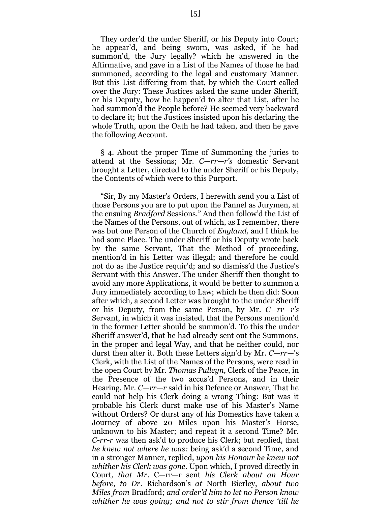They order'd the under Sheriff, or his Deputy into Court; he appear'd, and being sworn, was asked, if he had summon'd, the Jury legally? which he answered in the Affirmative, and gave in a List of the Names of those he had summoned, according to the legal and customary Manner. But this List differing from that, by which the Court called over the Jury: These Justices asked the same under Sheriff, or his Deputy, how he happen'd to alter that List, after he had summon'd the People before? He seemed very backward to declare it; but the Justices insisted upon his declaring the whole Truth, upon the Oath he had taken, and then he gave the following Account.

§ 4. About the proper Time of Summoning the juries to attend at the Sessions; Mr. *C—rr—r's* domestic Servant brought a Letter, directed to the under Sheriff or his Deputy, the Contents of which were to this Purport.

"Sir, By my Master's Orders, I herewith send you a List of those Persons you are to put upon the Pannel as Jurymen, at the ensuing *Bradford* Sessions." And then follow'd the List of the Names of the Persons, out of which, as I remember, there was but one Person of the Church of *England,* and I think he had some Place. The under Sheriff or his Deputy wrote back by the same Servant, That the Method of proceeding, mention'd in his Letter was illegal; and therefore he could not do as the Justice requir'd; and so dismiss'd the Justice's Servant with this Answer. The under Sheriff then thought to avoid any more Applications, it would be better to summon a Jury immediately according to Law; which he then did: Soon after which, a second Letter was brought to the under Sheriff or his Deputy, from the same Person, by Mr. *C—rr—r's* Servant, in which it was insisted, that the Persons mention'd in the former Letter should be summon'd. To this the under Sheriff answer'd, that he had already sent out the Summons, in the proper and legal Way, and that he neither could, nor durst then alter it. Both these Letters sign'd by Mr. *C—rr*—'s Clerk, with the List of the Names of the Persons, were read in the open Court by Mr. *Thomas Pulleyn*, Clerk of the Peace, in the Presence of the two accus'd Persons, and in their Hearing. Mr. *C—rr—r* said in his Defence or Answer, That he could not help his Clerk doing a wrong Thing: But was it probable his Clerk durst make use of his Master's Name without Orders? Or durst any of his Domestics have taken a Journey of above 20 Miles upon his Master's Horse, unknown to his Master; and repeat it a second Time? Mr. *C-rr-r* was then ask'd to produce his Clerk; but replied, that *he knew not where he was:* being ask'd a second Time, and in a stronger Manner, replied, *upon his Honour he knew not whither his Clerk was gone*. Upon which, I proved directly in Court, *that Mr.* C—rr—r sent *his Clerk about an Hour before, to Dr*. Richardson's *at* North Bierley, *about two Miles from* Bradford; *and order'd him to let no Person know whither he was going; and not to stir from thence 'till he*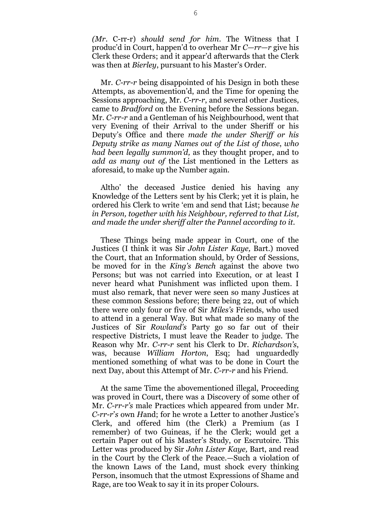*(Mr*. C-rr-r) *should send for him*. The Witness that I produc'd in Court, happen'd to overhear Mr *C—rr—r* give his Clerk these Orders; and it appear'd afterwards that the Clerk was then at *Bierley*, pursuant to his Master's Order.

Mr. *C-rr-r* being disappointed of his Design in both these Attempts, as abovemention'd, and the Time for opening the Sessions approaching, Mr. *C-rr-r*, and several other Justices, came to *Bradford* on the Evening before the Sessions began. Mr. *C-rr-r* and a Gentleman of his Neighbourhood, went that very Evening of their Arrival to the under Sheriff or his Deputy's Office and there *made the under Sheriff or his Deputy strike as many Names out of the List of those*, *who had been legally summon'd,* as they thought proper, and to *add as many out of* the List mentioned in the Letters as aforesaid, to make up the Number again.

Altho' the deceased Justice denied his having any Knowledge of the Letters sent by his Clerk; yet it is plain, he ordered his Clerk to write 'em and send that List; because *he in Person, together with his Neighbour, referred to that List, and made the under sheriff alter the Pannel according to it.*

These Things being made appear in Court, one of the Justices (I think it was Sir *John Lister Kaye,* Bart.) moved the Court, that an Information should, by Order of Sessions, be moved for in the *King's Bench* against the above two Persons; but was not carried into Execution, or at least I never heard what Punishment was inflicted upon them. I must also remark, that never were seen so many Justices at these common Sessions before; there being 22, out of which there were only four or five of Sir *Miles's* Friends, who used to attend in a general Way. But what made so many of the Justices of Sir *Rowland's* Party go so far out of their respective Districts, I must leave the Reader to judge. The Reason why Mr. *C-rr-r* sent his Clerk to Dr. *Richardson's*, was, because *William Horton*, Esq; had unguardedly mentioned something of what was to be done in Court the next Day, about this Attempt of Mr. *C-rr-r* and his Friend.

At the same Time the abovementioned illegal, Proceeding was proved in Court, there was a Discovery of some other of Mr. *C-rr-r's* male Practices which appeared from under Mr. *C-rr-r*'*s* own *H*and; for he wrote a Letter to another Justice's Clerk, and offered him (the Clerk) a Premium (as I remember) of two Guineas, if he the Clerk; would get a certain Paper out of his Master's Study, or Escrutoire. This Letter was produced by Sir *John Lister Kaye,* Bart, and read in the Court by the Clerk of the Peace.—Such a violation of the known Laws of the Land, must shock every thinking Person, insomuch that the utmost Expressions of Shame and Rage, are too Weak to say it in its proper Colours.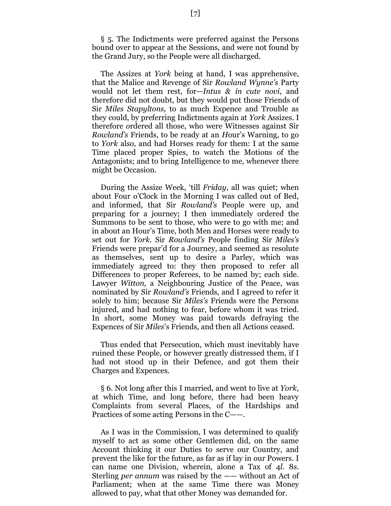§ 5. The Indictments were preferred against the Persons bound over to appear at the Sessions, and were not found by the Grand Jury, so the People were all discharged.

The Assizes at *York* being at hand, I was apprehensive, that the Malice and Revenge of Sir *Rowland Wynne's* Party would not let them rest, for—*Intus & in cute novi*, and therefore did not doubt, but they would put those Friends of Sir *Miles Stapyltons,* to as much Expence and Trouble as they could, by preferring Indictments again at *York* Assizes. I therefore *o*rdered all those, who were Witnesses against Sir *Rowland's* Friends, to be ready at an *H*our's Warning, to go to *York* al*so,* and had Horses ready for them: I at the same Time placed proper Spies, to watch the Motions of the Antagonists; and to bring Intelligence to me, whenever there might be Occasion.

During the Assize Week, 'till *Friday*, all was quiet; when about Four o'Clock in the Morning I was called out of Bed, and informed, that Sir *Rowland's* People were up, and preparing for a journey; I then immediately ordered the Summons to be sent to those, who were to go with me; and in about an Hour's Time, both Men and Horses were ready to set out for *York.* Sir *Rowland's* People finding Sir *Miles's* Friends were prepar'd for a Journey, and seemed as resolute as themselves, sent up to desire a Parley, which was immediately agreed to: they then proposed to refer all Differences to proper Referees, to be named by; each side. Lawyer *Witton,* a Neighbouring Justice of the Peace, was nominated by Sir *Rowland's* Friends, and I agreed to refer it solely to him; because Sir *Miles's* Friends were the Persons injured, and had nothing to fear, before whom it was tried. In short, some Money was paid towards defraying the Expences of Sir *Miles*'s Friends, and then all Actions ceased.

Thus ended that Persecution, which must inevitably have ruined these People, or however greatly distressed them, if I had not stood up in their Defence, and got them their Charges and Expences.

§ 6. Not long after this I married, and went to live at *York,* at which Time, and long before, there had been heavy Complaints from several Places, of the Hardships and Practices of some acting Persons in the C——.

As I was in the Commission, I was determined to qualify myself to act as some other Gentlemen did, on the same Account thinking it our Duties to serve our Country, and prevent the like for the future, as far as if lay in our Powers. I can name one Division, wherein, alone a Tax of 4*l*. 8*s*. Sterling *per annum* was raised by the —— without an Act of Parliament; when at the same Time there was Money allowed to pay, what that other Money was demanded for.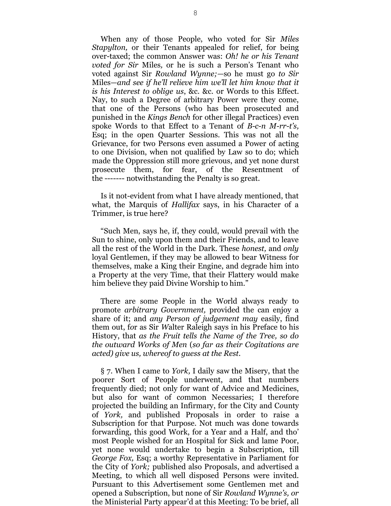When any of those People, who voted for Sir *Miles Stapylton,* or their Tenants appealed for relief, for being over-taxed; the common Answer was: *Oh! he or his Tenant voted for Sir* Miles*,* or he is such a Person's Tenant who voted against Sir *Rowland Wynne;—*so he must go *to Sir* Miles—*and see if he'll relieve him we'll let him know that it is his Interest to oblige us*, &c. &c. or Words to this Effect. Nay, to such a Degree of arbitrary Power were they come, that one of the Persons (who has been prosecuted and punished in the *Kings Bench* for other illegal Practices) even spoke Words to that Effect to a Tenant of *B-c-n M-rr-t's,* Esq; in the open Quarter Sessions. This was not all the Grievance, for two Persons even assumed a Power of acting to one Division, when not qualified by Law so to do; which made the Oppression still more grievous, and yet none durst prosecute them, for fear, of the Resentment of the ------- notwithstanding the Penalty is so great.

Is it not-evident from what I have already mentioned, that what, the Marquis of *Hallifax* says, in his Character of a Trimmer, is true here?

"Such Men, says he, if, they could, would prevail with the Sun to shine, only upon them and their Friends, and to leave all the rest of the World in the Dark. These *honest,* and *only* loyal Gentlemen, if they may be allowed to bear Witness for themselves, make a King their Engine, and degrade him into a Property at the very Time, that their Flattery would make him believe they paid Divine Worship to him."

There are some People in the W*o*rld always ready to promote *arbitrary Government,* provided the can enjoy a share of it; and *any Person of judgement may* easily, find them out, f*o*r as Sir *W*alter Raleigh says in his Preface to his History, that *as the Fruit tells the Name of the Tree, so do the outward Works of Men* (*so far as their Cogitations are acted) give us, whereof to guess at the Rest.*

§ 7. When I came to *York,* I daily saw the Misery, that the poorer Sort of People underwent, and that numbers frequently died; not only f*o*r want of Advice and Medicines, but also for want of c*o*mmon Necessaries; I therefore projected the building an Infirmary, for the City and C*o*unty of *York,* and published Proposals in order to raise a Subscription for that Purpose. Not much was done towards forwarding, this good Work, for a Year and a Half, and tho' most People wished for an Hospital for Sick and lame Poor, yet none would undertake to begin a Subscription, till *George Fox,* Esq; a worthy Representative in Parliament for the City of *York;* published also Proposals, and advertised a Meeting, to which all well disposed Persons were invited. Pursuant to this Advertisement some Gentlemen met and opened a Subscription, but none of Sir *Rowland Wynne's, or* the Ministerial Party appear'd at this Meeting: To be brief, all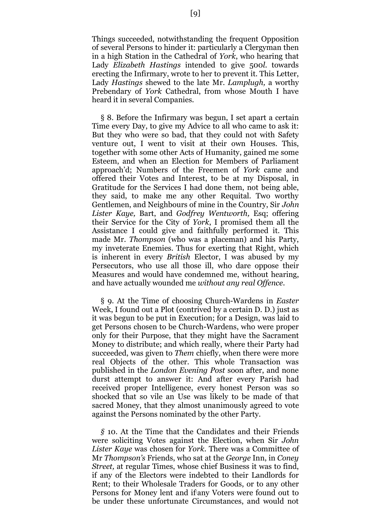Things succeeded, notwithstanding the frequent Opposition of several Persons to hinder it: particularly a Clergyman then in a high Station in the Cathedral of *York*, who hearing that Lady *Elizabeth Hastings* intended to give 500*l.* towards erecting the Infirmary, wrote to her to prevent it. This Letter, Lady *Hastings* shewed to the late Mr. *Lamplugh,* a worthy Prebendary of *York* Cathedral, from whose Mouth I have heard it in several Companies.

§ 8. Before the Infirmary was begun, I set apart a certain Time every Day, to give my Advice to all who came to ask it: But they who were so bad, that they could not with Safety venture out, I went to visit at their own Houses. This, together with some other Acts of Humanity, gained me some Esteem, and when an Election for Members of Parliament approach'd; Numbers of the Freemen of *York* came and offered their Votes and Interest, to be at my Disposal, in Gratitude for the Services I had done them, not being able, they said, to make me any other Requital. Two worthy Gentlemen, and Neighbours of mine in the Country, Sir *John Lister Kaye,* Bart, and *Godfrey Wentworth,* Esq; offering their Service for the City of *York*, I promised them all the Assistance I could give and faithfully performed it. This made Mr. *Thompson* (who was a placeman) and his Party, my inveterate Enemies. Thus for exerting that Right, which is inherent in every *British* Elector, I was abused by my Persecutors, who use all those ill, who dare oppose their Measures and would have condemned me, without hearing, and have actually wounded me *without any real Offence*.

§ 9. At the Time of choosing Church-Wardens in *Easter* Week, I found out a Plot (contrived by a certain D. D.) just as it was begun to be put in Execution; for a Design, was laid to get Persons chosen to be Church-Wardens, who were proper only for their Purpose, that they might have the Sacrament Money to distribute; and which really, where their Party had succeeded, was given to *Them* chiefly, when there were more real Objects of the other. This whole Transaction was published in the *London Evening Post* soon after, and none durst attempt to answer it: And after every Parish had received proper Intelligence, every honest Person was so shocked that so vile an Use was likely to be made of that sacred Money, that they almost unanimously agreed to vote against the Persons nominated by the other Party.

*§* 10. At the Time that the Candidates and their Friends were soliciting Votes against the Election, when Sir *John Lister Kaye* was chosen for *York.* There was a Committee of Mr *Thompson's* Friends, who sat at the *George* Inn, in *Coney Street,* at regular Times, whose chief Business it was to find, if any of the Electors were indebted to their Landlords for Rent; to their Wholesale Traders for Goods, or to any other Persons for Money lent and if:any Voters were found out to be under these unfortunate Circumstances, and would not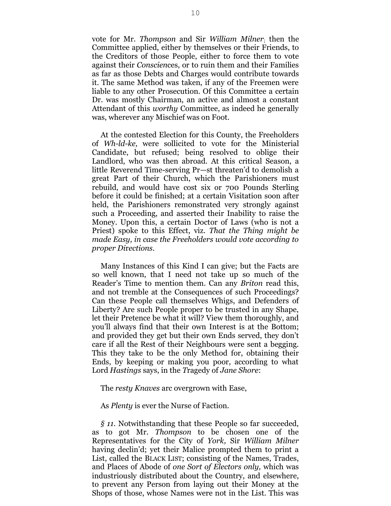vote for Mr. *Thompson* and Sir *William Milner*; then the Committee applied, either by themselves or their Friends, to the Creditors of those People, either to force them to vote against their *Conscien*ces, or to ruin them and their Families as far as those Debts and Charges would contribute towards it. The same Method was taken, if any of the Freemen were liable to any other Prosecution. Of this Committee a certain Dr. was mostly Chairman, an active and almost a constant Attendant of this *worthy* Committee, as indeed he generally was, wherever any Mischief was on Foot.

At the contested Election for this County, the Freeholders of *Wh-ld-ke,* were sollicited to vote for the Ministerial Candidate, but refused; being resolved to oblige their Landlord, who was then abroad. At this critical Season, a little Reverend Time-serving Pr—st threaten'd to demolish a great Part of their Church, which the Parishioners must rebuild, and would have cost six or 700 Pounds Sterling before it could be finished; at a certain Visitation soon after held, the Parishioners remonstrated very strongly against such a Proceeding, and asserted their Inability to raise the Money. Upon this, a certain Doctor of Laws (who is not a Priest) spoke to this Effect, viz. *That the Thing might be made Easy, in case the Freeholders would vote according to proper Di*r*ections*.

Many Instances of this Kind I can give; but the Facts are so well known, that I need not take up so much of the Reader's Time to mention them. Can any *Briton* read this, and not tremble at the Consequences of such Proceedings? Can these People call themselves Whigs, and Defenders of Liberty? Are such People proper to be trusted in any Shape, let their Pretence be what it will? View them thoroughly, and you'll always find that their own Interest is at the Bottom; and provided they get but their own Ends served, they don't care if all the Rest of their Neighbours were sent a begging. This they take to be the only Method for, obtaining their Ends, by keeping or making you poor, according to what Lord *Hastings* says, in the *T*ragedy of *Jane Shore*:

The *resty Knaves* arc overgrown with Ease,

As *Plenty* is ever the Nurse of Faction.

*§ 11.* Notwithstanding that these People so far succeeded, as to got Mr*. Thompson* to be chosen one of the Representatives for the City of *York,* Sir *William Milner* having declin'd; yet their Malice prompted them to print a List, called the BLACK LIST; consisting of the Names, Trades, and Places of Abode of *one Sort of Electors only,* which was industriously distributed about the Country, and elsewhere, to prevent any Person from laying out their Money at the Shops of those, whose Names were not in the List. This was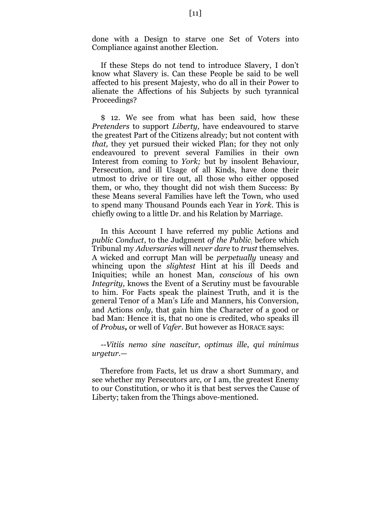done with a Design to starve one Set of Voters into Compliance against another Election.

If these Steps do not tend to introduce Slavery, I don't know what Slavery is. Can these People be said to be well affected to his present Majesty, who do all in their Power to alienate the Affections of his Subjects by such tyrannical Proceedings?

\$ 12. We see from what has been said, how these *Pretenders* to support *Liberty,* have endeavoured to starve the greatest Part of the Citizens already; but not content with *that,* they yet pursued their wicked Plan; for they not only endeavoured to prevent several Families in their own Interest from coming to *York;* but by insolent Behaviour, Persecution, and ill Usage of all Kinds, have done their utmost to drive or tire out, all those who either opposed them, or who, they thought did not wish them Success: By these Means several Families have left the Town, who used to spend many Thousand Pounds each Year in *York.* This is chiefly owing to a little Dr. and his Relation by Marriage.

In this Account I have referred my public Actions and *public Conduct*, to the Judgment *of the Public*; before which Tribunal my *Adversaries* will *never dare* to *trust* themselves. A wicked and corrupt Man will be *perpetually* uneasy and whincing upon the *slightest* Hint at his ill Deeds and Iniquities; while an honest Man, *conscious* of his own *Integrity,* knows the Event of a Scrutiny must be favourable to him. For Facts speak the plainest Truth, and it is the general Tenor of a Man's Life and Manners, his Conversion, and Actions *only,* that gain him the Character of a good or bad Man: Hence it is, that no one is credited, who speaks ill of *Probus,* or well of *Vafer*. But however as HORACE says:

*--Vitiis nemo sine nascitur, optimus ille*, *qui minimus urgetur*.—

Therefore from Facts, let us draw a short Summary, and see whether my Persecutors arc, or I am, the greatest Enemy to our Constitution, or who it is that best serves the Cause of Liberty; taken from the Things above-mentioned.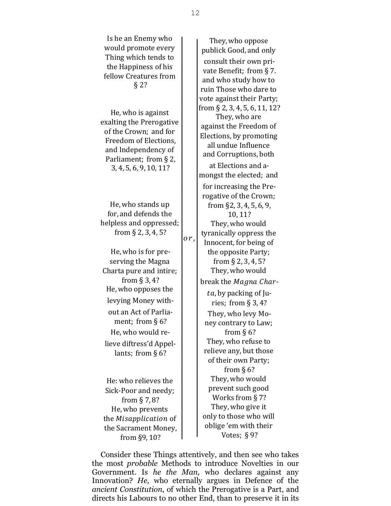| Is he an Enemy who<br>would promote every<br>Thing which tends to<br>the Happiness of his<br>fellow Creatures from<br>$§$ 2?                                                                                                                               | They, who oppose<br>publick Good, and only<br>consult their own pri-<br>vate Benefit; from §7.<br>and who study how to<br>ruin Those who dare to<br>vote against their Party;                                                                                                                   |
|------------------------------------------------------------------------------------------------------------------------------------------------------------------------------------------------------------------------------------------------------------|-------------------------------------------------------------------------------------------------------------------------------------------------------------------------------------------------------------------------------------------------------------------------------------------------|
| He, who is against<br>exalting the Prerogative<br>of the Crown; and for<br>Freedom of Elections,<br>and Independency of<br>Parliament; from § 2,<br>3, 4, 5, 6, 9, 10, 11?                                                                                 | from $\S$ 2, 3, 4, 5, 6, 11, 12?<br>They, who are<br>against the Freedom of<br>Elections, by promoting<br>all undue Influence<br>and Corruptions, both<br>at Elections and a-<br>mongst the elected; and                                                                                        |
| He, who stands up<br>for, and defends the<br>helpless and oppressed;<br>from $\S$ 2, 3, 4, 5?                                                                                                                                                              | for increasing the Pre-<br>rogative of the Crown;<br>from $\S$ 2, 3, 4, 5, 6, 9,<br>10,11?<br>They, who would<br>tyranically oppress the<br>or,<br>Innocent, for being of                                                                                                                       |
| He, who is for pre-<br>serving the Magna<br>Charta pure and intire;<br>from $\S$ 3, 4?<br>He, who opposes the<br>levying Money with-<br>out an Act of Parlia-<br>ment; from $\S$ 6?<br>He, who would re-<br>lieve diftress'd Appel-<br>lants; from $\S$ 6? | the opposite Party;<br>from $\S$ 2, 3, 4, 5?<br>They, who would<br>break the Magna Char-<br>ta, by packing of Ju-<br>ries; from $\S 3, 4$ ?<br>They, who levy Mo-<br>ney contrary to Law;<br>from $§$ 6?<br>They, who refuse to<br>relieve any, but those<br>of their own Party;<br>from $§$ 6? |
| He: who relieves the<br>Sick-Poor and needy;<br>from $\S$ 7, 8?<br>He, who prevents<br>the <i>Misapplication</i> of<br>the Sacrament Money,<br>from §9, 10?                                                                                                | They, who would<br>prevent such good<br>Works from §7?<br>They, who give it<br>only to those who will<br>oblige 'em with their<br>Votes; $§ 9?$                                                                                                                                                 |

Consider these Things attentively, and then see who takes the most *probable* Methods to introduce Novelties in our Government. Is *he the Man,* who declares against any Innovation? *He,* who eternally argues in Defence of the *ancient Constitution*, of which the Prerogative is a Part, and directs his Labours to no other End, than to preserve it in its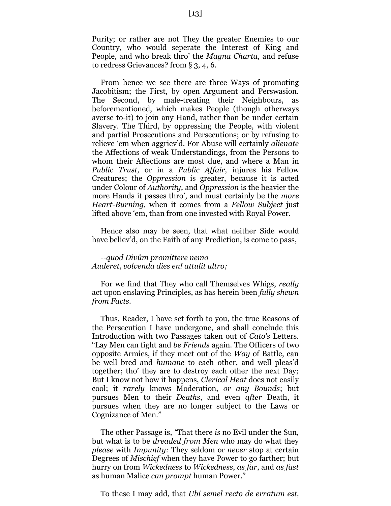Purity; or rather are not They the greater Enemies to our Country, who would seperate the Interest of King and People, and who break thro' the *Magna Charta,* and refuse to redress Grievances? from § 3, 4, 6.

From hence we see there are three Ways of promoting Jacobitism; the First, by open Argument and Perswasion. The Second, by male-treating their Neighbours, as beforementioned, which makes People (though otherways averse to-it) to join any Hand, rather than be under certain Slavery. The Third, by oppressing the People, with violent and partial Prosecutions and Persecutions; or by refusing to relieve 'em when aggriev'd. For Abuse will certainly *alienate* the Affections of weak Understandings, from the Persons to whom their Affections are most due, and where a Man in *Public Trust*, or in a *Public Affair,* injures his Fellow Creatures; the *Oppression* is greater, because it is acted under Colour of *Authority,* and *Oppression* is the heavier the more Hands it passes thro', and must certainly be the *more Heart-Burning,* when it comes from a *Fellow Subject* just lifted above 'em, than from one invested with Royal Power.

Hence also may be seen, that what neither Side would have believ'd, on the Faith of any Prediction, is come to pass,

#### *--quod Divûm promittere nemo Auderet*, *volvenda dies en! attulit ultro;*

For we find that They who call Themselves Whigs, *really* act upon enslaving Principles, as has herein been *fully shewn from Facts.*

Thus, Reader, I have set forth to you, the true Reasons of the Persecution I have undergone, and shall conclude this Introduction with two Passages taken out of *Cato's* Letters. "Lay Men can fight and *be Friends* again. The Officers of two opposite Armies, if they meet out of the *Way* of Battle, can be well bred and *humane* to each other, and well pleas'd together; tho' they are to destroy each other the next Day; But I know not how it happens, *Clerical Heat* does not easily cool; it *rarely* knows Moderation, *or any Bounds*; but pursues Men to their *Deaths*, and even *after* Death, it pursues when they are no longer subject to the Laws or Cognizance of Men."

The other Passage is, *"*That there *is* no Evil under the Sun, but what is to be *dreaded from Men* who may do what they *please* with *Impunity:* They seldom or *never* stop at certain Degrees of *Mischief* when they have Power to go farther; but hurry on from *Wickedness* to *Wickedness*, *as far*, and *as fast* as human Malice *can prompt* human Power."

To these I may add, that *Ubi semel recto de erratum est,*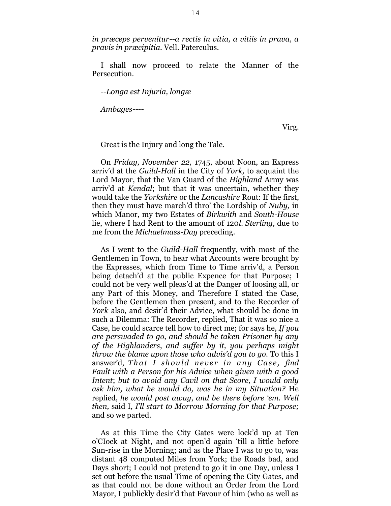*in præceps pervenitur--a rectis in vitia, a vitiis in prava, a pravis in præcipitia.* Vell. Paterculus.

I shall now proceed to relate the Manner of the Persecution.

*--Longa est Injuria, longæ*

*Ambages----*

Virg.

Great is the Injury and long the Tale.

On *Friday, November 22,* 1745, about Noon, an Express arriv'd at the *Guild-Hall* in the City of *York,* to acquaint the Lord Mayor, that the Van Guard of the *Highland* Army was arriv'd at *Kendal*; but that it was uncertain, whether they would take the *Yorkshire* or the *Lancashire* Rout: If the first, then they must have march'd thro' the Lordship of *Nuby,* in which Manor, my two Estates of *Birkwith* and *South-House* lie, where I had Rent to the amount of 120*l*. *Sterling,* due to me from the *Michaelmass-Day* preceding.

As I went to the *Guild-Hall* frequently, with most of the Gentlemen in Town, to hear what Accounts were brought by the Expresses, which from Time to Time arriv'd, a Person being detach'd at the public Expence for that Purpose; I could not be very well pleas'd at the Danger of loosing all, or any Part of this Money, and Therefore I stated the Case, before the Gentlemen then present, and to the Recorder of *York* also, and desir'd their Advice, what should be done in such a Dilemma: The Recorder, replied, That it was so nice a Case, he could scarce tell how to direct me; for says he, *If you are perswaded to go, and should be taken Prisoner by any of the Highlanders*, *and suffer by it, you perhaps might throw the blame upon those who advis'd you to go.* To this I answer'd, That I should never in any Case, find *Fault with a Person for his Advice when given with a good Intent*; *but to avoid any Cavil on that Score, I would only ask him, what he would do, was he in my Situation?* He replied, *he would post away*, *and be there before 'em. Well then,* said I, *I'll start to Morrow Morning for that Purpose;*  and so we parted.

As at this Time the City Gates were lock'd up at Ten o'CIock at Night, and not open'd again 'till a little before Sun-rise in the Morning; and as the Place I was to go to, was distant 48 computed Miles from York; the Roads bad, and Days short; I could not pretend to go it in one Day, unless I set out before the usual Time of opening the City Gates, and as that could not be done without an Order from the Lord Mayor, I publickly desir'd that Favour of him (who as well as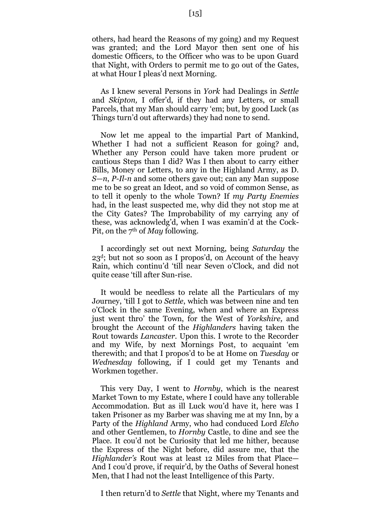others, had heard the Reasons of my going) and my Request was granted; and the Lord Mayor then sent one of his domestic Officers, to the Officer who was to be upon Guard that Night, with Orders to permit me to go out of the Gates, at what Hour I pleas'd next Morning.

As I knew several Persons in *York* had Dealings in *Settle* and *Skipton,* I offer'd, if they had any Letters, or small Parcels, that my Man should carry 'em; but, by good Luck (as Things turn'd out afterwards) they had none to send.

Now let me appeal to the impartial Part of Mankind, Whether I had not a sufficient Reason for going? and, Whether any Person could have taken more prudent or cautious Steps than I did? Was I then about to carry either Bills, Money or Letters, to any in the Highland Army, as D. *S—n*, *P-Il-n* and some others gave out; can any Man suppose me to be so great an Ideot, and so void of common Sense, as to tell it openly to the whole Town? If *my Party Enemies* had, in the least suspected me, why did they not stop me at the City Gates? The Improbability of my carrying any of these, was acknowledg'd, when I was examin'd at the Cock-Pit, *o*n the 7th of *May* following.

I accordingly set out next Morning, being *Saturday* the 23d; but not so soon as I propos'd, on Account of the heavy Rain, which continu'd 'till near Seven o'Clock, and did not quite cease 'till after Sun-rise.

It would be needless to relate all the Particulars of my J*o*urney, 'till I got to *Settle*, which was between nine and ten o'Clock in the same Evening, when and where an Express just went thro' the Town, for the West of *Yorkshire,* and brought the Account of the *Highlanders* having taken the R*o*ut towards *Lancaster.* Upon this. I wrote to the Recorder and my Wife, by next Mornings Post, to acquaint 'em therewith; and that I prop*o*s'd to be at Home on *Tuesday* or *Wednesday* following, if I could get my Tenants and Workmen together.

This very Day, I went to *Hornby*, which is the nearest Market Town to my Estate, where I could have any tollerable Accommodation. But as ill Luck w*o*u'd have it, here was I taken Prisoner as my Barber was shaving me at my Inn, by a Party of the *Highland* Army, who had conduced Lord *Elcho* and other Gentlemen, to *Hornby* Castle, to dine and see the Place. It cou'd not be Curiosity that led me hither, because the Express of the Night before, did assure me, that the *Highlander's* Rout was at least 12 Miles from that Place— And I cou'd prove, if requir'd, by the Oaths of Several honest Men, that I had not the least Intelligence of this Party.

I then return'd to *Settle* that Night, where my Tenants and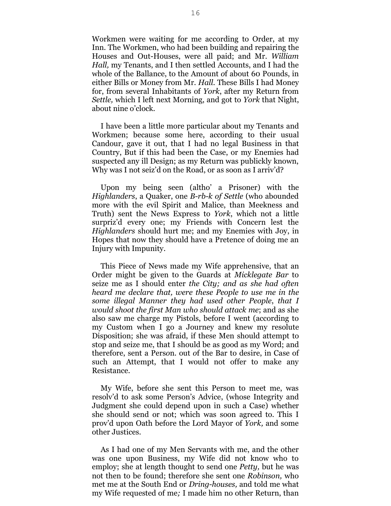Workmen were waiting for me according to Order, at my Inn. The Workmen, who had been building and repairing the H*o*uses and Out-Houses, were all paid; and Mr. *William Hall,* my Tenants, and I then settled Accounts, and I had the whole of the Ballance, to the Amount *o*f about 60 Pounds, in either Bills or M*o*ney from Mr. *Hall.* These Bills I had Money for, from several Inhabitants of *York*, after my Return from *Settle,* which I left next Morning, and got to *York* that Night, about nine o'clock.

I have been a little more particular about my Tenants and Workmen; because some here, according to their usual Candour, gave it out, that I had no legal Business in that Country, But if this had been the Case, or my Enemies had suspected any ill Design; as my Return was publickly known, Why was I not seiz'd on the Road, or as soon as I arriv'd?

Upon my being seen (altho' a Prisoner) with the *Highlanders*, a Quaker, one *B-rb-k of Settle* (who abounded more with the evil Spirit and Malice, than Meekness and Truth) sent the News Express to *York*, which not a little surpriz'd every one; my Friends with Concern lest the *Highlanders* should hurt me; and my Enemies with Joy, in Hopes that now they should have a Pretence of doing me an Injury with Impunity.

This Piece of News made my Wife apprehensive, that an Order might be given to the Guards at *Micklegate Bar* to seize me as I should enter *the City; and as she had often heard me declare that, were these People to use me in the some illegal Manner they had used other People*, *that I would shoot the first Man who should attack me*; and as she also saw me charge my Pistols, before I went (according to my Custom when I go a Journey and knew my resolute Disposition; she was afraid, if these Men should attempt to stop and seize me, that I should be as good as my Word; and therefore, sent a Pers*o*n. out *o*f the Bar to desire, in Case of such an Attempt, that I would not offer to make any Resistance.

My Wife, before she sent this Person to meet me, was resolv'd to ask some Person's Advice, (whose Integrity and Judgment she could depend upon in such a Case) whether she should send or not; which was soon agreed to. This I prov'd upon Oath before the Lord Mayor of *York,* and some other Justices.

As I had one of my Men Servants with me, and the other was one upon Business, my Wife did not know who to employ; she at length thought to send one *Petty,* but he was not then to be found; therefore she sent one *Robinson,* who met me at the South End or *Dring-houses,* and told me what my Wife requested of me*;* I made him no other Return, than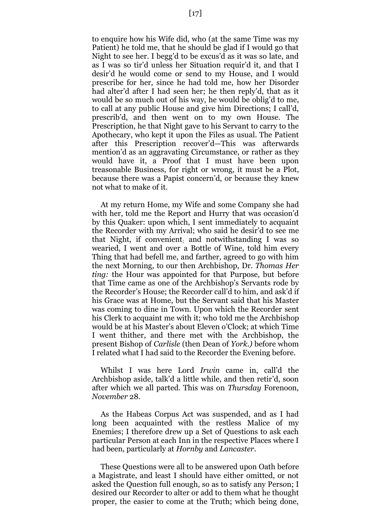to enquire how his Wife did, who (at the same Time was my Patient) he told me, that he should be glad if I would go that Night to see her. I begg'd to be excus'd as it was so late, and as I was so tir'd unless her Situation requir'd it, and that I desir'd he would come or send to my House, and I would prescribe for her, since he had told me, how her Disorder had alter'd after I had seen her; he then reply'd, that as it would be so much out of his way, he would be oblig'd to me, to call at any public House and give him Directions; I call'd, prescrib'd, and then went on to my own House. The Prescription, he that Night gave to his Servant to carry to the Apothecary, who kept it upon the Files as usual. The Patient after this Prescription recover'd—This was afterwards mention'd as an aggravating Circumstance, or rather as they would have it, a Proof that I must have been upon treasonable Business, for right or wrong, it must be a Plot, because there was a Papist concern'd, or because they knew not what to make of it.

At my return Home, my Wife and some Company she had with her, told me the Report and Hurry that was occasion'd by this Quaker: upon which, I sent immediately to acquaint the Recorder with my Arrival; who said he desir'd to see me that Night, if convenient; and notwithstanding I was so wearied, I went and over a Bottle of Wine, told him every Thing that had befell me, and farther, agreed to go with him the next Morning, to our then Archbishop, Dr. *Thomas Her ting:* the Hour was appointed for that Purpose, but before that Time came as one of the Archbishop's Servants rode by the Recorder's House; the Recorder call'd to him, and ask'd if his Grace was at Home, but the Servant said that his Master was coming to dine in Town. Upon which the Recorder sent his Clerk to acquaint me with it; who told me the Archbishop would be at his Master's about Eleven o'Clock; at which Time I went thither, and there met with the Archbishop, the present Bishop of *Carlisle* (then Dean of *York.)* before whom I related what I had said to the Recorder the Evening before.

Whilst I was here Lord *Irwin* came in, call'd the Archbishop aside, talk'd a little while, and then retir'd, soon after which we all parted. This was on *Thursday* Forenoon, *November* 28.

As the Habeas Corpus Act was suspended, and as I had long been acquainted with the restless Malice of my Enemies; I therefore drew up a Set of Questions to ask each particular Person at each Inn in the respective Places where I had been, particularly at *Hornby* and *Lancaster.*

These Questions were all to be answered upon Oath bef*o*re a Magistrate, and least I should have either omitted, or not asked the Question full enough, so as to satisfy any Pers*o*n; I desired our Recorder to alter or add to them what he thought proper, the easier to come at the Truth; which being done,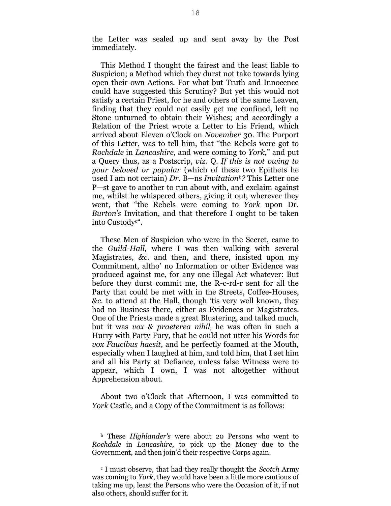the Letter was sealed up and sent away by the Post immediately.

This Method I thought the fairest and the least liable to Suspicion; a Method which they durst n*o*t take towards lying open their own Actions. For what but Truth and Innocence could have suggested this Scrutiny? But yet this would not satisfy a certain Priest, for he and others of the same Leaven, finding that they could not easily get me confined, left no Stone unturned to obtain their Wishes; and accordingly a Relation of the Priest wrote a Letter to his Friend, which arrived about Eleven o'Clock on *November* 30. The Purport of this Letter, was to tell him, that "the Rebels were got to *Rochdale* in *Lancashire,* and were c*o*ming to *York,*" and put a Query thus, as a Postscrip, *viz.* Q*. If this is not owing to your beloved or popular* (which of these two Epithets he used I am not certain) *Dr.* B—ns *Invitationb?* This Letter one P—st gave to another to run about with, and exclaim against me, whilst he whispered others, giving it out, wherever they went, that "the Rebels were coming to *York* upon Dr. *Burton's* Invitation, and that therefore I ought to be taken into Custodyc".

These Men of Suspicion who were in the Secret, came to the *Guild-Hall,* where I was then walking with several Magistrates, *&c.* and then, and there, insisted upon my Commitment, altho' no Information or other Evidence was produced against me, for any one illegal Act whatever: But before they durst commit me, the R-c-rd-r sent for all the Party that could be met with in the Streets, Coffee-Houses, *&c.* to attend at the Hall, though 'tis very well known, they had no Business there, either as Evidences or Magistrates. One of the Priests made a great Blustering, and talked much, but it was *vox & praeterea nihil*; he was often in such a Hurry with Party Fury, that he c*o*uld not utter his Words for *vox Faucibus haesit*, and he perfectly foamed at the Mouth, especially when I laughed at him, and told him, that I set him and all his Party at Defiance, unless false Witness were to appear, which I own, I was not altogether without Apprehension about.

About two o'Clock that Afternoon, I was committed to *York* Castle, and a Copy of the Commitment is as follows:

<sup>b</sup> These *Highlander's* were about 20 Persons who went to *Rochdale* in *Lancashire,* to pick up the Money due to the Government, and then join'd their respective Corps again.

<sup>c</sup> I must observe, that had they really thought the *Scotch* Army was coming to *York*, they would have been a little more cautious of taking me up, least the Persons who were the Occasion of it, if not also others, should suffer for it.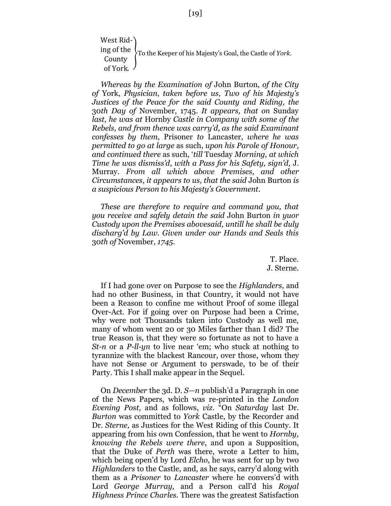West Riding of the County of York. }To the Keeper of his Majesty's Goal, the Castle of *York.*

*Whereas by the Examination of* John Burton, *of the City of* York, *Physician*, *taken before us*, *Two of his Majesty's Justices of the Peace for the said County and Riding, the* 30*th Day of* November, 1745. *It appears, that on* Sunday *last, he was at* Hornby *Castle in Company with some of the Rebels*, *and from thence was carry'd, as the said Examinant confesses by them*, Prisoner *to* Lancaster, *where he was permitted to go at large* as such, *upon his Parole of Honour, and continued there* as such, '*till* Tuesday *Morning, at which Time he was dismiss'd*, *with a Pass for his Safety, sign'd,* J. Murray. *From all which above Premises*, *and other Circumstances*, *it appears to us, that the said* John Burton *is a suspicious Person to his Majesty's Government.*

*These are therefore to require and command you, that you receive and safely detain the said* John Burton *in yuor Custody upon the Premises abovesaid, untill he shall be duly discharg'd by Law. Given under our Hands and Seals this* 30*th of* November*, 1745.*

> T. Place. J. Sterne.

If I had gone over on Purpose to see the *Highlanders*, and had no other Business, in that Country, it would not have been a Reason to confine me without Proof of some illegal Over-Act. For if going over on Purpose had been a Crime, why were not Thousands taken into Custody as well me, many of whom went 20 or 30 Miles farther than I did? The true Reason is, that they were so fortunate as not to have a *St-n* or a *P-ll-yn* to live near 'em; who stuck at nothing to tyrannize with the blackest Rancour, over those, whom they have not Sense or Argument to perswade, to be of their Party. This I shall make appear in the Sequel.

On *December* the 3d. D. *S—n* publish'd a Paragraph in one of the News Papers, which was re-printed in the *London Evening Post,* and as follows, *viz.* "On *Saturday* last Dr. *Burton* was committed to *York* Castle, by the Recorder and Dr. *Sterne,* as Justices for the West Riding of this County. It appearing from his own Confession, that he went to *Hornby, knowing the Rebels were there*, and upon a Supposition, that the Duke of *Perth* was there, wrote a Letter to him, which being open'd by Lord *Elcho*, he was sent for up by two *Highlanders* to the Castle, and, as he says, carry'd along with them as a *Prisoner* to *Lancaster* where he convers'd with Lord *George Murray,* and a Person call'd his *Royal Highness Prince Charles*. There was the greatest Satisfaction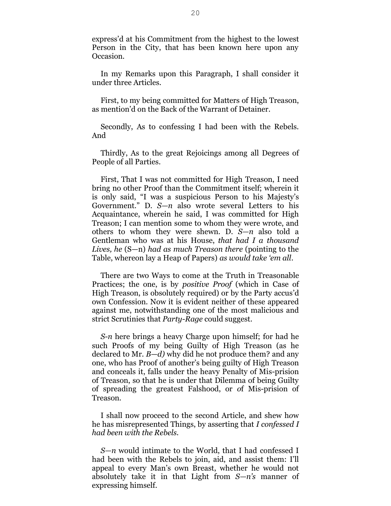express'd at his Commitment from the highest to the lowest Person in the City, that has been known here upon any Occasion.

In my Remarks upon this Paragraph, I shall consider it under three Articles.

First, to my being committed for Matters of High Treason, as mention'd on the Back of the Warrant of Detainer.

Secondly, As to confessing I had been with the Rebels. And

Thirdly, As to the great Rejoicings among all Degrees of People of all Parties.

First, That I was not committed for High Treason, I need bring no other Proof than the Commitment itself; wherein it is only said, "I was a suspicious Person to his Majesty's Government." D. *S—n* also wrote several Letters to his Acquaintance, wherein he said, I was committed for High Treason; I can mention some to whom they were wrote, and others to whom they were shewn. D. *S—n* also told a Gentleman who was at his House, *that had I a thousand Lives, he* (S—n) *had as much Treason there* (pointing to the Table, whereon lay a Heap of Papers) *as would take 'em all*.

There are two Ways to come at the Truth in Treasonable Practices; the one, is by *positive Proof* (which in Case of High Treason, is obsolutely required) or by the Party accus'd own Confession. Now it is evident neither of these appeared against me, notwithstanding one of the most malicious and strict Scrutinies that *Party-Rage* could suggest.

*S-n* here brings a heavy Charge upon himself; for had he such Proofs of my being Guilty of High Treason (as he declared to Mr. *B*—*d)* why did he not produce them? and any one, who has Proof of another's being guilty of High Treason and conceals it, falls under the heavy Penalty of Mis-prision of Treason, so that he is under that Dilemma of being Guilty of spreading the greatest Falshood, or *o*f Mis-prision of Treason.

I shall now proceed to the second Article, and shew h*o*w he has misrepresented Things, by asserting that *I confessed I had been with the Rebels.*

*S—n* would intimate to the World, that I had confessed I had been with the Rebels to join, aid, and assist them: I'll appeal to every Man's own Breast, whether he would not absolutely take it in that Light from *S—n's* manner of expressing himself.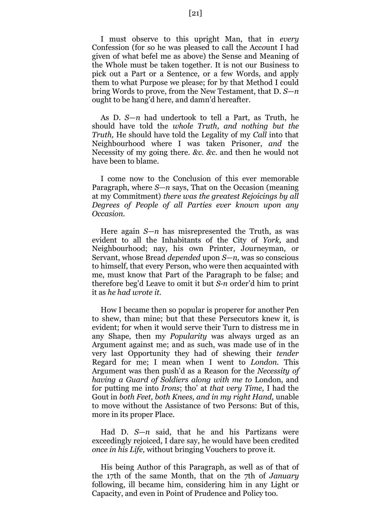I must observe to this upright Man, that in *every* Confession (for so he was pleased to call the Acc*o*unt I had given of what befel me as above) the Sense and Meaning of the Whole must be taken together. It is not our Business to pick out a Part or a Sentence, or a few Words, and apply them to what Purpose we please; for by that Method I could bring Words to prove, from the New Testament, that D. *S—n* ought to be hang'd here, and damn'd hereafter.

As D. *S—n* had undertook to tell a Part, as Truth, he should have told the *whole Truth, and nothing but the Truth,* He should have told the Legality of my *Call* into that Neighbourhood where I was taken Prisoner, *and* the Necessity of my going there. *&c*. *&c.* and then he would not have been to blame.

I come now to the Conclusion of this ever memorable Paragraph, where *S—n* says, That on the Occasion (meaning at my Commitment) *there was the greatest Rejoicings by all Degrees of People of all Parties ever known upon any Occasion.*

Here again *S—n* has misrepresented the Truth, as was evident to all the Inhabitants of the City of *York,* and Neighbourhood; nay, his own Printer, J*o*urneyman, or Servant, whose Bread *depended* upon *S—n,* was so conscious to himself, that every Person, who were then acquainted with me, must know that Part of the Paragraph to be false; and therefore beg'd Leave to omit it but *S-n* order'd him to print it as *he had wrote it.*

How I became then so popular is properer for another Pen to shew, than mine; but that these Persecutors knew it, is evident; for when it would serve their Turn to distress me in any Shape, then my *Popularity* was always urged as an Argument against me; and as such, was made use of in the very last Opportunity they had of shewing their *tender* Regard for me; I mean when I went to *London.* This Argument was then push'd as a Reason for the *Necessity of having a Guard of Soldiers along with me to* London, and f*o*r putting me into *Irons*; tho' at *that very Time,* I had the Gout in *both Feet, both Knees, and in my right Hand,* unable to move without the Assistance of two Persons: But of this, more in its proper Place.

Had D. *S—n* said, that he and his Partizans were exceedingly rejoiced, I dare say, he would have been credited *once in his Life,* without bringing Vouchers to prove it.

His being Author of this Paragraph, as well as of that of the 17th of the same Month, that on the 7th of *January* following, ill became him, considering him in any Light or Capacity, and even in Point of Prudence and Policy too.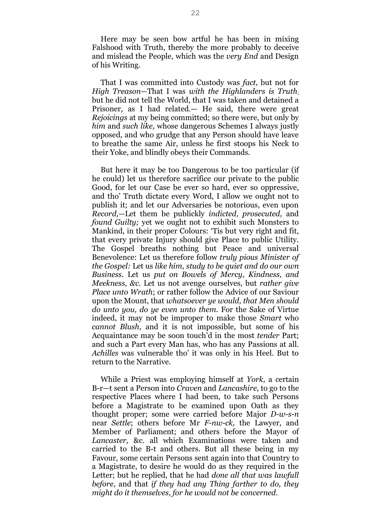Here may be seen bow artful he has been in mixing Falshood with Truth, thereby the more probably to deceive and mislead the People, which was the *very End* and Design of his Writing.

That I was committed into Custody was *fact,* but not for *High Treason—*That I was *with the Highlanders is Truth*; but he did not tell the World, that I was taken and detained a Prisoner, as I had related.— He said, there were great *Rejoicings* at my being committed; so there were, but only by *him* and *such like,* whose dangerous Schemes I always justly opposed, and who grudge that any Person should have leave to breathe the same Air, unless he first stoops his Neck to their Yoke, and blindly obeys their Commands.

But here it may be too Dangerous to be too particular (if he could) let us therefore sacrifice our private to the public Good, for let our Case be ever so hard, ever so oppressive, and tho' Truth dictate every Word, I allow we ought not to publish it; and let our Adversaries be notorious, even upon *Record,*—Let them be publickly *indicted, prosecuted,* and *found Guilty;* yet we ought not to exhibit such Monsters to Mankind, in their proper Colours: 'Tis but very right and fit, that every private Injury should give Place to public Utility. The Gospel breaths nothing but Peace and universal Benevolence: Let us therefore follow *truly pious Minister of the Gospel:* Let us *like him*, *study to be quiet and do our own Business.* Let us *put on Bowels of Mercy, Kindness, and Meekness, &c.* Let us not avenge ourselves, but *rather give Place unto Wrath*; or rather follow the Advice of our Saviour upon the Mount, that *whatsoever ye would, that Men should do unto you, do ye even unto them.* For the Sake of Virtue indeed, it may not be improper to make those *Smart* who *cannot Blush*, and it is not impossible, but some of his Acquaintance may be soon touch'd in the most *tender* Part; and such a Part every Man has, who has any Passions at all. *Achilles* was vulnerable tho' it was only in his Heel. But to return to the Narrative.

While a Priest was employing himself at *York,* a certain B-r—t sent a Person into *Craven* and *Lancashire*, to go to the respective Places where I had been, to take such Persons before a Magistrate to be examined upon Oath as they thought proper; some were carried before Major *D-w-s-n* near *Settle*; others before Mr *F-nw-ck,* the Lawyer, and Member of Parliament; and others before the Mayor of *Lancaster,* &c. all which Examinations were taken and carried to the B-t and others. But all these being in my Favour, some certain Persons sent again into that Country to a Magistrate, to desire he would do as they required in the Letter; but he replied, that he had *done all that was lawfull before*, and that *if they had any Thing farther to do, they might do it themselves, for he would not be concerned*.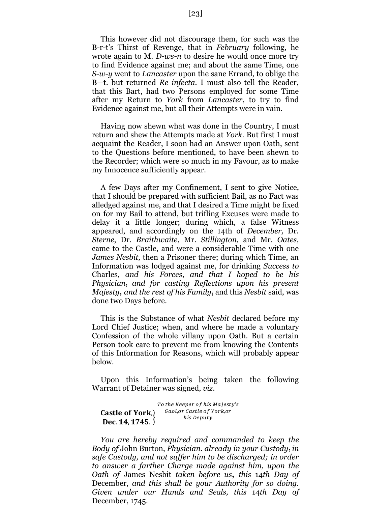This however did not discourage them, for such was the B-r-t's Thirst of Revenge, that in *February* following, he wrote again to M. *D-ws-n* to desire he would once more try to find Evidence against me; and ab*o*ut the same Time, one *S-w-y* went to *Lancaster* upon the sane Errand, to oblige the B—t. but returned *Re infecta.* I must also tell the Reader, that this Bart, had two Persons employed for some Time after my Return to *York* from *Lancaster*, to try to find Evidence against me, but all their Attempts were in vain.

Having now shewn what was done in the C*o*untry, I must return and shew the Attempts made at *York.* But first I must acquaint the Reader, I soon had an Answer upon Oath, sent to the Questions before mentioned, to have been shewn to the Recorder; which were so much in my Favour, as to make my Innocence sufficiently appear.

A few Days after my Confinement, I sent to give Notice, that I should be prepared with sufficient Bail, as no Fact was alledged against me, and that I desired a Time might be fixed on f*o*r my Bail to attend, but trifling Excuses were made to delay it a little longer; during which, a false Witness appeared, and accordingly on the 14th of *December,* Dr. *Sterne*, Dr. *Braithwaite*, Mr. *Stillington,* and Mr. *Oates,* came to the Castle, and were a considerable Time with one *James Nesbit,* then a Prisoner there; during which Time, an Informati*o*n was lodged against me, for drinking *Success to* Charles, *and his Forces*, *and that I hoped to be his Physician; and for casting Reflections upon his present Majesty, and the rest of his Family***;** and this *Nesbit* said, was done two Days before.

This is the Substance of what *Nesbit* declared before my Lord Chief Justice; when, and where he made a voluntary Confession *o*f the whole villany upon Oath. But a certain Pers*o*n to*o*k care to prevent me from knowing the Contents of this Information for Reasons, which will probably appear below.

Upon this Information's being taken the following Warrant *o*f Detainer was signed, *viz*.

Castle of York.)  $\frac{3}{2}$ . 14, 1745.  $\frac{1}{2}$ To the Keeper of his Majesty's Gaol, or Castle of York, or his Deputy.

*You are hereby required and commanded to keep the Body of* John Burton, *Physician. already in your Custody; in safe Custody, and not suffer him to be discharged; in order to answer a farther Charge made against him, upon the Oath of* James Nesbit *taken before us, this* 14*th Day of* December, *and this shall be your Authority for so doing. Given under our Hands and Seals, this* 14*th Day of* December, 1745.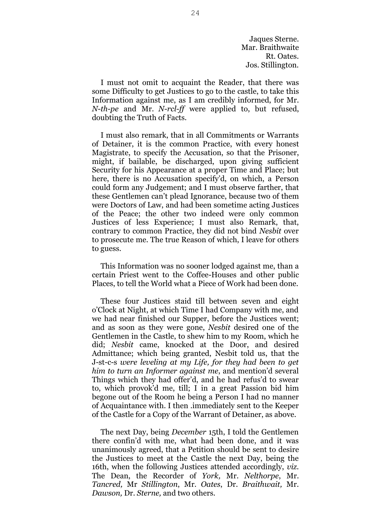Jaques Sterne. Mar. Braithwaite Rt. Oates. Jos. Stillington.

I must not omit to acquaint the Reader, that there was some Difficulty to get Justices to go to the castle, to take this Information against me, as I am credibly informed, for Mr. *N-th-pe* and Mr. *N-rcl-ff* were applied to, but refused, doubting the Truth of Facts.

I must also remark, that in all Commitments or Warrants of Detainer, it is the common Practice, with every honest Magistrate, to specify the Accusation, so that the Pris*o*ner, might, if bailable, be discharged, upon giving sufficient Security for his Appearance at a proper Time and Place; but here, there is no Accusation specify'd, on which, a Pers*o*n could form any Judgement; and I must *o*bserve farther, that these Gentlemen can't plead Ignorance, because two of them were Doctors of Law, and had been sometime acting Justices of the Peace; the other two indeed were only common Justices of less Experience; I must also Remark, that, contrary to common Practice, they did not bind *Nesbit* over to prosecute me. The true Reason of which, I leave for others to guess.

This Information was no sooner lodged against me, than a certain Priest went to the Coffee-Houses and other public Places, to tell the World what a Piece of Work had been done.

These four Justices staid till between seven and eight o'Clock at Night, at which Time I had Company with me, and we had near finished our Supper, before the Justices went; and as soon as they were gone, *Nesbit* desired one of the Gentlemen in the Castle, to shew him to my Room, which he did; *Nesbit* came, knocked at the Door, and desired Admittance; which being granted, Nesbit told us, that the J-st-c-s *were leveling at my Life, for they had been to get him to turn an Informer against me*, and mention'd several Things which they had offer'd, and he had refus'd to swear to, which provok'd me, till; I in a great Passion bid him begone out of the Room he being a Person I had no manner of Acquaintance with. I then .immediately sent to the Keeper of the Castle for a Copy of the Warrant of Detainer, as above.

The next Day, being *December* 15th, I told the Gentlemen there confin'd with me, what had been done, and it was unanimously agreed, that a Petition should be sent to desire the Justices to meet at the Castle the next Day, being the 16th, when the following Justices attended accordingly, *viz.* The Dean, the Recorder of *York,* Mr. *Nelthorpe*, Mr. *Tancred,* Mr *Stillington*, Mr. *Oates*, Dr. *Braithwait,* Mr. *Dawson,* Dr. *Sterne,* and two others.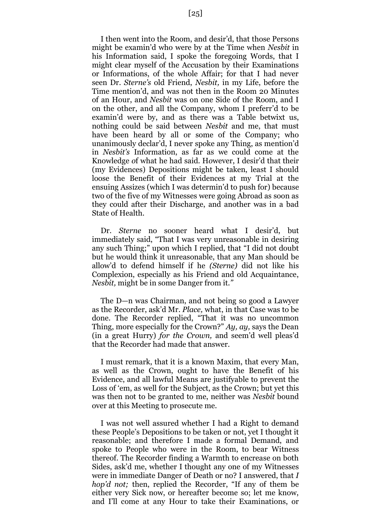I then went into the Room, and desir'd, that those Persons might be examin'd who were by at the Time when *Nesbit* in his Information said, I spoke the foregoing Words, that I might clear myself of the Accusation by their Examinations or Informations, of the whole Affair; for that I had never seen Dr. *Sterne's* old Friend, *Nesbit,* in my Life, before the Time mention'd, and was not then in the Room 20 Minutes of an Hour, and *Nesbit* was on one Side of the Room, and I on the other, and all the Company, whom I preferr'd to be examin'd were by, and as there was a Table betwixt us, nothing could be said between *Nesbit* and me, that must have been heard by all or some of the C*o*mpany; who unanimously declar'd, I never sp*o*ke any Thing, as mention'd in *Nesbit's* Information, as far as we could come at the Knowledge *o*f what he had said. H*o*wever, I desir'd that their (my Evidences) Depositions might be taken, least I should loose the Benefit of their Evidences at my Trial at the ensuing Assizes (which I was determin'd to push for) because two of the five of my Witnesses were going Abroad as soon as they could after their Discharge, and another was in a bad State of Health.

Dr. *Sterne* no sooner heard what I desir'd, but immediately said, "That I was very unreasonable in desiring any such Thing;" upon which I replied, that "I did not doubt but he would think it unreasonable, that any Man should be allow'd to defend himself if he *(Sterne)* did not like his Complexion, especially as his Friend and old Acquaintance, *Nesbit,* might be in some Danger from it*."*

The D—n was Chairman, and not being so good a Lawyer as the Recorder, ask'd Mr. *Place,* what, in that Case was to be done. The Recorder replied, "That it was no uncommon Thing, more especially for the Crown?" *Ay, ay,* says the Dean (in a great Hurry) *for the Crown,* and seem'd well pleas'd that the Recorder had made that answer.

I must remark, that it is a known Maxim, that every Man, as well as the Crown, ought to have the Benefit of his Evidence, and all lawful Means are justifyable to prevent the Loss of 'em, as well for the Subject, as the Crown; but yet this was then not to be granted to me, neither was *Nesbit* bound over at this Meeting to prosecute me.

I was not well assured whether I had a Right to demand these People's Depositions to be taken or not, yet I thought it reasonable; and therefore I made a formal Demand, and spoke to People who were in the Room, to bear Witness thereof. The Recorder finding a Warmth to encrease on both Sides, ask'd me, whether I thought any one of my Witnesses were in immediate Danger of Death or no? I answered, that *I hop'd not;* then, replied the Recorder, "If any of them be either very Sick now, or hereafter become so; let me know, and I'll come at any Hour to take their Examinations, or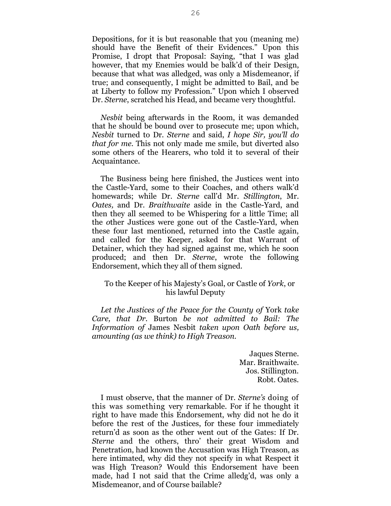Depositions, for it is but reasonable that you (meaning me) should have the Benefit of their Evidences." Upon this Promise, I dropt that Proposal: Saying, "that I was glad however, that my Enemies would be balk'd of their Design, because that what was alledged, was only a Misdemeanor, if true; and consequently, I might be admitted to Bail, and be at Liberty to follow my Profession." Upon which I observed Dr. *Sterne*, scratched his Head, and became very thoughtful.

*Nesbit* being afterwards in the Room, it was demanded that he should be bound over to prosecute me; upon which, *Nesbit* turned to Dr. *Sterne* and said, *I hope Sir, you'll do that for me*. This not only made me smile, but diverted also some others of the Hearers, who told it to several of their Acquaintance.

The Business being here finished, the Justices went into the Castle-Yard, some to their Coaches, and others walk'd homewards; while Dr. *Sterne* call'd Mr. *Stillington*, Mr. *Oates,* and Dr. *Braithwaite* aside in the Castle-Yard, and then they all seemed to be Whispering for a little Time; all the *o*ther Justices were gone out of the Castle-Yard, when these four last mentioned, returned into the Castle again, and called for the Keeper, asked for that Warrant of Detainer, which they had signed against me, which he soon produced; and then Dr. *Sterne*, wrote the foll*o*wing Endorsement, which they all of them signed.

#### To the Keeper of his Majesty's Goal, or Castle of *York*, or his lawful Deputy

*Let the Justices of the Peace for the County of* York *take Care, that Dr.* Burton *be not admitted to Bail: The Information of* James Nesbit *taken upon Oath before us, amounting (as we think) to High Treason.*

> Jaques Sterne. Mar. Braithwaite. Jos. Stillington. Robt. Oates.

I must observe, that the manner of Dr. *Sterne's* doing of this was something very remarkable. For if he thought it right to have made this Endorsement, why did not he do it before the rest of the Justices, for these four immediately return'd as soon as the other went out of the Gates: If Dr. *Sterne* and the others, thro' their great Wisd*o*m and Penetrati*o*n, had known the Accusation was High Treason, as here intimated, why did they not specify in what Respect it was High Treason? Would this Endorsement have been made, had I not said that the Crime alledg'd, was only a Misdemeanor, and of Course bailable?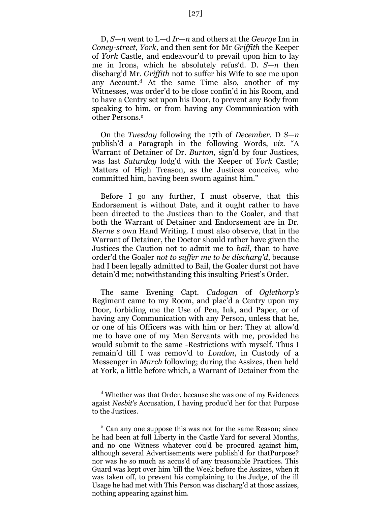D, *S—n* went to L—d *Ir—n* and others at the *George* Inn in *Coney-street*, *York,* and then sent for Mr *Griffith* the Keeper of *York* Castle, and endeavour'd to prevail upon him to lay me in Irons, which he absolutely refus'd. D. *S—n* then discharg'd Mr. *Griffith* not to suffer his Wife to see me upon any Account.<sup>d</sup> At the same Time also, another of my Witnesses, was order'd to be close confin'd in his Room, and to have a Centry set upon his Door, to prevent any Body from speaking to him, or from having any Communication with other Persons.<sup>e</sup>

On the *Tuesday* following the 17th of *December,* D *S—n* publish'd a Paragraph in the following Words, *viz.* "A Warrant of Detainer of Dr. *Burton*, sign'd by four Justices, was last *Saturday* lodg'd with the Keeper of *York* Castle; Matters of High Treason, as the Justices conceive, who committed him, having been sworn against him."

Before I go any further, I must observe, that this Endorsement is without Date, and it ought rather to have been directed to the Justices than to the Goaler, and that both the Warrant of Detainer and Endorsement are in Dr. *Sterne s* own Hand Writing. I must also observe, that in the Warrant of Detainer, the Doctor should rather have given the Justices the Caution not to admit me to *bail,* than to have order'd the Goaler *not to suffer me to be discharg'd*, because had I been legally admitted to Bail, the Goaler durst not have detain'd me; notwithstanding this insulting Priest's Order.

The same Evening Capt. *Cadogan* of *Oglethorp's*  Regiment came to my Room, and plac'd a Centry upon my Door, forbiding me the Use of Pen, Ink, and Paper, or of having any Communication with any Person, unless that he, or one of his Officers was with him or her: They at allow'd me to have one of my Men Servants with me, provided he would submit to the same -Restrictions with myself. Thus I remain'd till I was remov'd to *London*, in Custody of a Messenger in *March* following; during the Assizes, then held at York, a little before which, a Warrant of Detainer from the

<sup>d</sup> Whether was that Order, because she was one of my Evidences agaist *Nesbit's* Accusation, I having produc'd her for that Purpose to the Justices.

<sup>e</sup> Can any one suppose this was not for the same Reason; since he had been at full Liberty in the Castle Yard for several Months, and no one Witness whatever cou'd be procured against him, although several Advertisements were publish'd for thatPurpose? nor was he so much as accus'd of any treasonable Practices. This Guard was kept over him 'till the Week before the Assizes, when it was taken off, to prevent his complaining to the Judge, of the ill Usage he had met with This Person was discharg'd at thosc assizes, nothing appearing against him.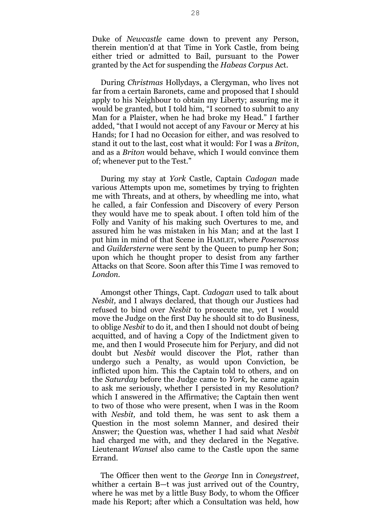Duke of *Newcastle* came down to prevent any Person, therein mention'd at that Time in York Castle, from being either tried or admitted to Bail, pursuant to the Power granted by the Act for suspending the *Habeas Corpus* Act.

During *Christmas* Hollydays, a Clergyman, who lives not far from a certain Baronets, came and proposed that I should apply to his Neighbour to obtain my Liberty; assuring me it would be granted, but I told him, "I scorned to submit to any Man for a Plaister, when he had broke my Head." I farther added, "that I would not accept of any Favour or Mercy at his Hands; for I had no Occasion for either, and was resolved to stand it out to the last, cost what it would: For I was a *Briton*, and as a *Briton* would behave, which I would convince them of; whenever put to the Test."

During my stay at *York* Castle, Captain *Cadogan* made various Attempts upon me, sometimes by trying to frighten me with Threats, and at others, by wheedling me into, what he called, a fair Confession and Discovery of every Person they would have me to speak about. I often told him of the Folly and Vanity of his making such Overtures to me, and assured him he was mistaken in his Man; and at the last I put him in mind of that Scene in HAMLET, where *Posencross* and *Guildersterne* were sent by the Queen to pump her Son; upon which he thought proper to desist from any farther Attacks on that Score. Soon after this Time I was removed to *London.*

Amongst other Things, Capt. *Cadogan* used to talk about *Nesbit,* and I always declared, that though our Justices had refused to bind over *Nesbit* to prosecute me, yet I would move the Judge on the first Day he should sit to do Business, to oblige *Nesbit* to do it, and then I should not doubt of being acquitted, and of having a Copy of the Indictment given to me, and then I would Prosecute him for Perjury, and did not doubt but *Nesbit* would discover the Pl*o*t, rather than undergo such a Penalty, as would upon Conviction, be inflicted upon him. This the Captain told to others, and on the *Saturday* before the Judge came to *York,* he came again to ask me seriously, whether I persisted in my Resolution? which I answered in the Affirmative; the Captain then went to two of those who were present, when I was in the Room with *Nesbit,* and told them, he was sent to ask them a Question in the most solemn Manner, and desired their Answer; the Question was, whether I had said what *Nesbit*  had charged me with, and they declared in the Negative. Lieutenant *Wansel* also came to the Castle upon the same Errand.

The Officer then went to the *George* Inn in *Coneystreet*, whither a certain B—t was just arrived out of the Country, where he was met by a little Busy B*o*dy, to whom the Officer made his Report; after which a Consultation was held, how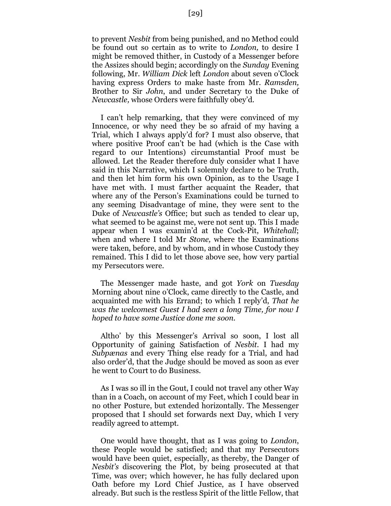to prevent *Nesbit* from being punished, and no Method could be found out so certain as to write to *London,* to desire I might be removed thither, in Custody of a Messenger before the Assizes should begin; accordingly on the *Sunday* Evening following, Mr. *William Dick* left *London* about seven o'Clock having express Orders t*o* make haste from Mr. *Ramsden,* Brother to Sir *John*, and under Secretary to the Duke of *Newcastle,* whose Orders were faithfully obey'd.

I can't help remarking, that they were convinced of my Innocence, or why need they be so afraid of my having a Trial, which I always apply'd for? I must also observe, that where positive Proof can't be had (which is the Case with regard to our Intentions) circumstantial Proof must be allowed. Let the Reader therefore duly consider what I have said in this Narrative, which I solemnly declare to be Truth, and then let him form his own Opinion, as to the Usage I have met with. I must farther acquaint the Reader, that where any of the Person's Examinations could be turned to any seeming Disadvantage of mine, they were sent to the Duke of *Newcastle's* Office; but such as tended to clear up, what seemed to be against me, were not sent up. This I made appear when I was examin'd at the Cock-Pit, *Whitehall*; when and where I told Mr *Stone,* where the Examinations were taken, before, and by whom, and in whose Custody they remained. This I did to let those above see, how very partial my Persecutors were.

The Messenger made haste, and got *York* on *Tuesday* Morning about nine o'Clock, came directly to the Castle, and acquainted me with his Errand; to which I reply'd, *That he was the welcomest Guest I had seen a long Time, for now I hoped to have some Justice done me soon.*

Altho' by this Messenger's Arrival so soon, I lost all Opportunity of gaining Satisfaction of *Nesbit.* I had my *Subpænas* and every Thing else ready for a Trial, and had also order'd, that the Judge should be moved as soon as ever he went to Court to do Business.

As I was so ill in the Gout, I could not travel any other Way than in a Coach, on account of my Feet, which I could bear in no other Posture, but extended horizontally. The Messenger proposed that I should set forwards next Day, which I very readily agreed to attempt.

One would have thought, that as I was going to *London*, these People would be satisfied; and that my Persecutors would have been quiet, especially, as thereby, the Danger of *Nesbit's* discovering the Plot, by being prosecuted at that Time, was over; which however, he has fully declared upon Oath before my Lord Chief Justice, as I have observed already. But such is the restless Spirit of the little Fellow, that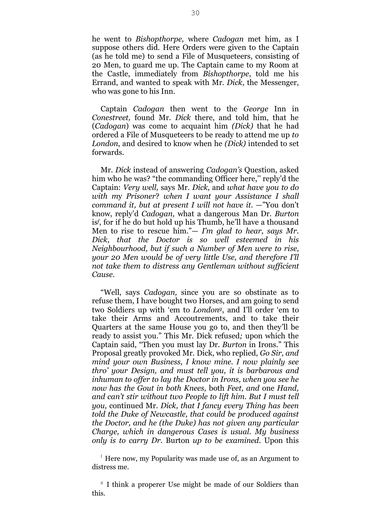he went to *Bishopthorpe,* where *Cadogan* met him, as I suppose others did. Here Orders were given to the Captain (as he told me) to send a File of Musqueteers, consisting of 20 Men, to guard me up. The Captain came to my Room at the Castle, immediately from *Bishopthorpe*, told me his Errand, and wanted to speak with Mr. *Dick*, the Messenger, who was gone to his Inn.

Captain *Cadogan* then went to the *George* Inn in *Conestreet,* found Mr. *Dick* there, and told him, that he (*Cadogan*) was come to acquaint him *(Dick)* that he had ordered a File of Musqueteers to be ready to attend me up *to London*, and desired to know when he *(Dick)* intended to set forwards.

Mr. *Dick* instead of answering *Cadogan's* Question, asked him who he was? "the commanding Officer here," reply'd the Captain: *Very well,* says Mr. *Dick,* and *what have you to do with m*y *Prisoner*? *when I want your Assistance I shall command it, but at present I will not have it.* —"You don't know, reply'd *Cadogan,* what a dangerous Man Dr. *Burton* is*f* , for if he do but hold up his Thumb, he'll have a thousand Men to rise to rescue him."— *I'm glad to hear, says Mr. Dick, that the Doctor is so well esteemed in his Neighbourhood, but if such a Number of Men were to rise, your 20 Men would be of very little Use, and therefore I'll not take them to distress any Gentleman without sufficient Cause.*

"Well, says *Cadogan,* since you are so obstinate as to refuse them, I have bought two Horses, and am going to send two Soldiers up with 'em to *Londong*, and I'll order 'em to take their Arms and Accoutrements, and to take their Quarters at the same H*o*use you go to, and then they'll be ready to assist you." This Mr*.* Dick refused*;* upon which the Captain said, "Then you must lay Dr. *Burton* in Irons." This Proposal greatly provoked Mr. Dick, who replied, *Go Sir, and mind your own Business, I know mine. I now plainly see thro' your Design, and must tell you, it is barbarous and inhuman to offer to lay the Doctor in Irons, when you see he now has the Gout in both Knees,* both *Feet, and* one *Hand, and can't stir without two People to lift him. But I must tell you,* continued Mr. *Dick, that I fancy every Thing has been told the Duke of Newcastle, that could be produced against the Doctor, and he (the Duke) has not given any particular Charge, which in dangerous Cases is usual. My business only is to carry Dr.* Burton *up to be examined.* Upon this

<sup>f</sup> Here now, my Popularity was made use of, as an Argument to distress me.

<sup>&</sup>lt;sup>g</sup> I think a properer Use might be made of our Soldiers than this.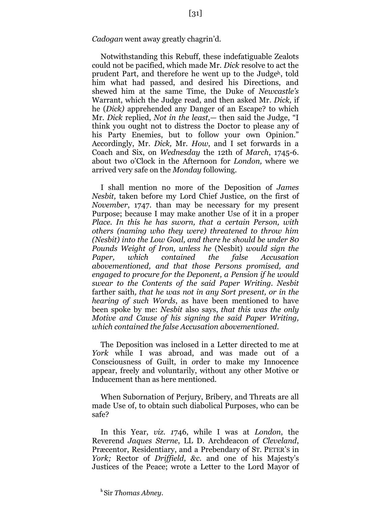Notwithstanding this Rebuff, these indefatiguable Zealots could not be pacified, which made Mr. *Dick* resolve to act the prudent Part, and therefore he went up to the Judgeh, told him what had passed, and desired his Directions, and shewed him at the same Time, the Duke of *Newcastle's* Warrant, which the Judge read, and then asked Mr. *Dick,* if he (*Dick)* apprehended any Danger of an Escape? to which Mr. *Dick* replied, *Not in the least*,— then said the Judge, "I think you ought not to distress the Doctor to please any of his Party Enemies, but to follow your own Opinion." Accordingly, Mr. *Dick,* Mr. *How*, and I set forwards in a Coach and Six, on *Wednesday* the 12th of *March*, 1745-6. about two o'Clock in the Afternoon for *London,* where we arrived very safe on the *Monday* following.

I shall mention no more of the Deposition of *James Nesbit,* taken before my Lord Chief Justice, *o*n the first of *November*, 1747. than may be necessary for my present Purpose; because I may make another Use of it in a proper *Place. In this he has sworn, that a certain Person, with others (naming who they were) threatened to throw him (Nesbit) into the Low Goal, and there he should be under 80 Pounds Weight of Iron, unless he* (Nesbit) *would sign the Paper, which contained the false Accusation abovementioned, and that those Persons promised, and engaged to procure for the Deponent, a Pen*s*ion if he would swear to the Contents of the said Paper Writing. Nesbit* farther saith*, that he was not in any Sort present, or in the hearing of such Words*, as have been mentioned to have been spoke by me: *Nesbit* also says, *that this was the only Motive and Cause of his signing the said Paper Writing, which contained the false Accusation abovementioned.*

The Deposition was inclosed in a Letter directed to me at *York* while I was abroad, and was made out of a Consciousness of Guilt, in *o*rder to make my Innocence appear, freely and voluntarily, without any other Motive or Inducement than as here mentioned.

When Subornation of Perjury, Bribery, and Threats are all made Use of, to obtain such diabolical Purposes, who can be safe?

In this Year, *viz. 1*746, while I was at *London*, the Reverend *Jaques Sterne*, LL D. Archdeacon *o*f *Cleveland*, Præcentor, Residentiary, and a Prebendary of ST. PETER'S in *York;* Rector of *Driffield, &c.* and one of his Majesty's Justices of the Peace; wrote a Letter to the Lord Mayor of

**<sup>h</sup>** Sir *Thomas Abney.*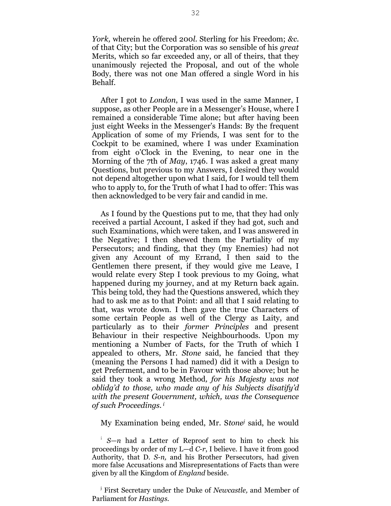*York,* wherein he offered 200*l.* Sterling for his Freedom; *&c.*  of that City; but the Corporation was so sensible of his *great* Merits, which so far exceeded any, or all of theirs, that they unanimously rejected the Proposal, and out of the whole Body, there was not one Man *o*ffered a single Word in his Behalf.

After I got to *London*, I was used in the same Manner, I suppose, as other People are in a Messenger's House, where I remained a considerable Time alone; but after having been just eight Weeks in the Messenger's Hands: By the frequent Application of some of my Friends, I was sent for to the Cockpit to be examined, where I was under Examination from eight o'Clock in the Evening, to near one in the Morning of the 7th of *May*, 1746. I was asked a great many Questions, but previous to my Answers, I desired they would not depend altogether upon what I said, for I would tell them who to apply to, for the Truth of what I had to offer: This was then acknowledged to be very fair and candid in me.

As I found by the Questions put to me, that they had only received a partial Account, I asked if they had got, such and such Examinations, which were taken, and I was answered in the Negative; I then shewed them the Partiality of my Persecutors; and finding, that they (my Enemies) had not given any Account of my Errand, I then said to the Gentlemen there present, if they would give me Leave, I would relate every Step I took previous to my Going, what happened during my journey, and at my Return back again. This being told, they had the Questions answered, which they had to ask me as to that Point: and all that I said relating to that, was wrote down. I then gave the true Characters of some certain People as well of the Clergy as Laity, and particularly as to their *former Principles* and present Behaviour in their respective Neighbourhoods. Upon my mentioning a Number of Facts, for the Truth of which I appealed to others, Mr. *Stone* said, he fancied that they (meaning the Persons I had named) did it with a Design to get Preferment, and to be in Favour with those above; but he said they took a wrong Method*, for his Majesty was not oblidg'd to those, who made any of his Subjects disatify'd with the present Government, which, was the Consequence of such Proceedings. <sup>i</sup>*

My Examination being ended, Mr. S*tone<sup>j</sup>* said, he would

i *S—n* had a Letter of Reproof sent to him to check his proceedings by order of my L—d *C-r*, I believe. I have it from good Authority, that D. *S-n,* and his Brother Persecutors, had given more false Accusations and Misrepresentations of Facts than were given by all the Kingdom of *England* beside.

j First Secretary under the Duke of *Newcastle,* and Member of Parliament for *Hastings.*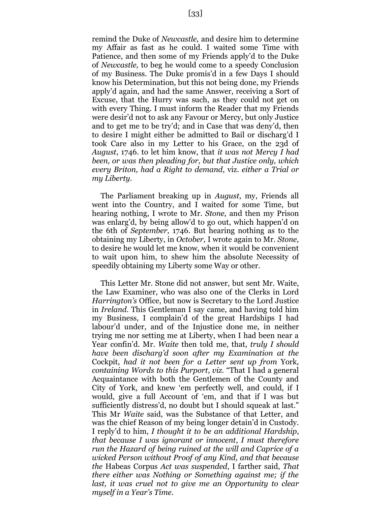remind the Duke of *Newcastle,* and desire him to determine my Affair as fast as he could. I waited some Time with Patience, and then some of my Friends apply'd to the Duke of *Newcastle,* to beg he would come to a speedy Conclusion of my Business. The Duke promis'd in a few Days I should know his Determination, but this not being done, my Friends apply'd again, and had the same Answer, receiving a Sort of Excuse, that the Hurry was such, as they could not get on with every Thing. I must inform the Reader that my Friends were desir'd not to ask any Favour or Mercy, but only Justice and to get me to be try'd; and in Case that was deny'd, then to desire I might either be admitted to Bail or discharg'd I took Care also in my Letter to his Grace, on the 23d of *August*, 1746. to let him know, that *it was not Mercy I had been, or was then pleading for, but that Justice only, which every Briton, had a Right to demand,* viz*. either a Trial or my Liberty.*

The Parliament breaking up in *August*, my, Friends all went into the Country, and I waited for some Time, but hearing nothing, I wrote to Mr. *Stone,* and then my Prison was enlarg'd, by being allow'd to go out, which happen'd on the 6th of *September,* 1746. But hearing nothing as to the obtaining my Liberty, in *October,* I wrote again to Mr. *Stone,* to desire he would let me know, when it would be convenient to wait upon him, to shew him the absolute Necessity of speedily obtaining my Liberty some Way or other.

This Letter Mr. Stone did not answer, but sent Mr. Waite, the Law Examiner, who was also one of the Clerks in Lord *Harrington's* Office, but now is Secretary to the Lord Justice in *Ireland.* This Gentleman I say came, and having told him my Business, I complain'd of the great Hardships I had labour'd under, and of the Injustice done me, in neither trying me nor setting me at Liberty, when I had been near a Year confin'd. Mr. *Waite* then told me, that, *truly I should have been discharg'd soon after my Examination at the*  Cockpit, *had it not been for a Letter sent up from* York, *containing Words to this Purport*, *viz.* "That I had a general Acquaintance with both the Gentlemen of the County and City of York, and knew 'em perfectly well, and could, if I would, give a full Account of 'em, and that if I was but sufficiently distress'd, no doubt but I should squeak at last." This Mr *Waite* said, was the Substance of that Letter, and was the chief Reason of my being longer detain'd in Custody. I reply'd to him, *I thought it to be an additional Hardship*, *that because I was ignorant or innocent*, *I must therefore run the Hazard of being ruined at the will and Caprice of a wicked Person without Proof of any Kind, and that because the* Habeas Corpus *Act was suspended*, I farther said, *That there either was Nothing or Something against me; if the last, it was cruel not to give me an Opportunity to clear myself in a Year's Time.*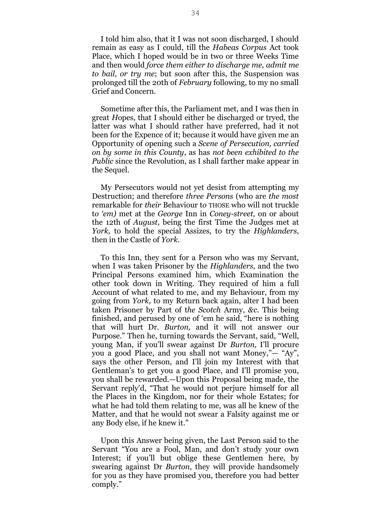I told him also, that it I was not soon discharged, I should remain as easy as I could, till the *Habeas Corpus* Act took Place, which I hoped would be in two or three Weeks Time and then would *force them either to discharge me, admit me to bail*, *or try me*; but soon after this, the Suspension was prolonged till the 20th of *February* following, to my no small Grief and Concern.

Sometime after this, the Parliament met, and I was then in great *H*opes, that I should either be discharged or tryed, the latter was what I should rather have preferred, had it not been f*o*r the Expence of it; because it would have given me an Opportunity of *o*pening such a *Scene of Persecution, carried on by some in this County*, as has *not been exhibited to the Public* since the Revolution, as I shall farther make appear in the Sequel.

My Persecutors w*o*uld not yet desist from attempting my Destruction; and therefore *three Persons* (who are *the most* remarkable for *their* Behaviour t*o* THOSE who will not truckle t*o 'em)* met at the *George* Inn in *Coney-street,* on or about the 12th of *August*, being the first Time the Judges met at *York,* to hold the special Assizes, to try the *Highlanders,* then in the Castle of *York.*

To this Inn, they sent for a Person who was my Servant, when I was taken Prisoner by the *Highlanders,* and the two Principal Persons examined him, which Examination the other took down in Writing. They required of him a full Account of what related to me, and my Behaviour, from my going from *York,* to my Return back again, alter I had been taken Prisoner by Part of t*he Scotch* Army, *&c.* This being finished, and perused by one of 'em he said, "here is nothing that will hurt Dr. *Burton,* and it will not answer our Purpose." Then he, turning towards the Servant, said, "Well, young Man, if you'll swear against Dr *Burton,* I'll procure you a good Place, and you shall not want Money,"— "Ay", says the other Person, and I'll join my Interest with that Gentleman's to get you a good Place, and I'll promise you, you shall be rewarded.—Upon this Proposal being made, the Servant reply'd, "That he would not perjure himself for all the Places in the Kingdom, nor for their whole Estates; for what he had told them relating to me, was all he knew of the Matter, and that he would not swear a Falsity against me or any Body else, if he knew it."

Upon this Answer being given, the Last Person said to the Servant "You are a Fool, Man, and don't study your own Interest; if you'll but oblige these Gentlemen here, by swearing against Dr *Burton*, they will provide handsomely for you as they have promised you, therefore you had better comply."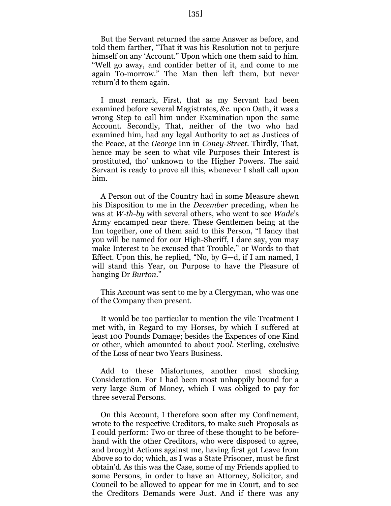But the Servant returned the same Answer as before, and told them farther, "That it was his Resolution not to perjure himself on any 'Account." Up*o*n which one them said to him. "Well go away, and confider better of it, and come to me again To-morrow." The Man then left them, but never return'd to them again.

I must remark, First, that as my Servant had been examined before several Magistrates, *&c.* upon Oath, it was a wrong Step to call him under Examination upon the same Account. Sec*o*ndly, That, neither of the two who had examined him, had any legal Authority to act as Justices of the Peace, at the *George* Inn in *Coney-Street.* Thirdly, That, hence may be seen to what vile Purposes their Interest is prostituted, tho' unknown to the Higher Powers. The said Servant is ready to prove all this, whenever I shall call upon him.

A Person out of the Country had in some Measure shewn his Disposition t*o* me in the *December* preceding, when he was at *W-th-by* with several others, who went to see *Wade*'s Army encamped near there. These Gentlemen being at the Inn together, one of them said to this Person, "I fancy that you will be named for our High-Sheriff, I dare say, you may make Interest to be excused that Trouble," or Words to that Effect. Upon this, he replied, "No, by G—d, if I am named, I will stand this Year, on Purpose to have the Pleasure of hanging Dr *Burton*."

This Account was sent to me by a Clergyman, who was one of the Company then present.

It would be too particular to mention the vile Treatment I met with, in Regard to my Horses, by which I suffered at least 100 Pounds Damage; besides the Expences of one Kind or other, which amounted to about 700*l.* Sterling, exclusive of the Loss of near two Years Business.

Add to these Misfortunes, another m*o*st shocking Consideration. For I had been most unhappily bound for a very large Sum of Money, which I was obliged to pay f*o*r three several Persons.

On this Account, I therefore soon after my Confinement, wrote to the respective Creditors, to make such Proposals as I could perf*o*rm: Two or three of these thought to be beforehand with the other Creditors, who were disposed to agree, and brought Actions against me, having first got Leave from Above so to do; which, as I was a State Prisoner, must be first obtain'd. As this was the Case, some of my Friends applied to some Persons, in order to have an Attorney, Solicitor, and Council to be allowed to appear for me in Court, and to see the Creditors Demands were Just. And if there was any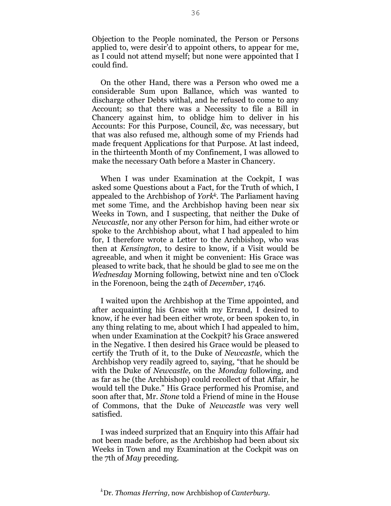Objection to the People nominated, the Person or Persons applied to, were desir'd to appoint others, to appear for me, as I could not attend myself; but none were appointed that I could find.

On the other Hand, there was a Person who owed me a considerable Sum upon Ballance, which was wanted to discharge other Debts withal, and he refused to come to any Account; so that there was a Necessity to file a Bill in Chancery against him, to oblidge him to deliver in his Accounts: For this Purpose, Council, *&c,* was necessary, but that was also refused me, although some of my Friends had made frequent Applications for that Purpose. At last indeed, in the thirteenth Month of my Confinement, I was allowed to make the necessary Oath before a Master in Chancery.

When I was under Examination at the Cockpit, I was asked some Questions about a Fact, for the Truth of which, I appealed to the Archbishop of *Yorkk.* The Parliament having met some Time, and the Archbishop having been near six Weeks in Town, and I suspecting, that neither the Duke of *Newcastle,* nor any other Person for him, had either wrote or spoke to the Archbishop about, what I had appealed to him for, I therefore wrote a Letter to the Archbishop, who was then at *Kensington*, to desire to know, if a Visit would be agreeable, and when it might be convenient: His Grace was pleased to write back, that he should be glad to see me on the *Wednesday* Morning following, betwixt nine and ten o'Clock in the Forenoon, being the 24th of *December,* 1746*.*

I waited upon the Archbishop at the Time appointed, and after acquainting his Grace with my Errand, I desired to know, if he ever had been either wrote, or been spoken to, in any thing relating to me, about which I had appealed to him, when under Examination at the Cockpit? his Grace answered in the Negative. I then desired his Grace would be pleased to certify the Truth of it, to the Duke of *Newcastle*, which the Archbishop very readily agreed to, saying, "that he should be with the Duke of *Newcastle,* on the *Monday* following, and as far as he (the Archbishop) could recollect of that Affair, he would tell the Duke." His Grace performed his Promise, and soon after that, Mr. *Stone* told a Friend of mine in the House of Commons, that the Duke of *Newcastle* was very well satisfied.

I was indeed surprized that an Enquiry into this Affair had not been made before, as the Archbishop had been about six Weeks in Town and my Examination at the Cockpit was on the 7th of *May* preceding.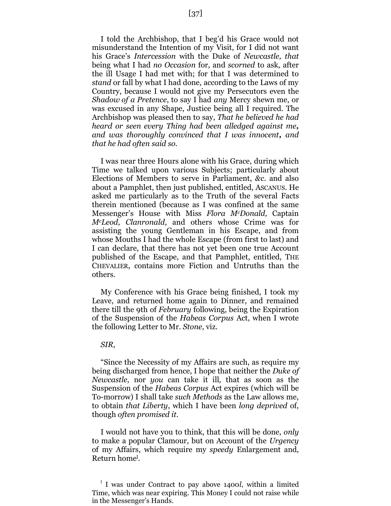I told the Archbishop, that I beg'd his Grace would not misunderstand the Intention of my Visit, for I did not want his Grace's *Intercession* with the Duke of *Newcastle, that* being what I had *no Occasion* for, and *scorned* to ask, after the ill Usage I had met with; for that I was determined to *stand* or fall by what I had done, according to the Laws of my Country, because I would not give my Persecutors even the *Shadow of a Pretence*, to say I had *any* Mercy shewn me, or was excused in any Shape, Justice being all I required. The Archbishop was pleased then to say, *That he believed he had heard or seen every Thing had been alledged against me, and was thoroughly convinced that I was innocent, and that he had often said so.*

I was near three Hours alone with his Grace, during which Time we talked upon various Subjects; particularly about Elections of Members to serve in Parliament, *&c.* and also about a Pamphlet, then just published, entitled, ASCANUS. He asked me particularly as to the Truth of the several Facts therein mentioned (because as I was confined at the same Messenger's House with Miss *Flora McDonald,* Captain *McLeod, Clanronald*, and others whose Crime was for assisting the young Gentleman in his Escape, and from whose Mouths I had the whole Escape (from first to last) and I can declare, that there has not yet been one true Account published of the Escape, and that Pamphlet, entitled, THE CHEVALIER, contains more Fiction and Untruths than the others.

My Conference with his Grace being finished, I took my Leave, and returned home again to Dinner, and remained there till the 9th of *February* following, being the Expiration of the Suspension of the *Habeas Corpus* Act, when I wrote the following Letter to Mr. *Stone,* viz.

#### *SIR,*

"Since the Necessity *o*f my Affairs are such, as require my being discharged from hence, I hope that neither the *Duke of Newcastle,* nor *you* can take it ill*,* that as soon as the Suspension of the *Habeas Corpus* Act expires (which will be To-morr*o*w) I shall take *such Methods* as the Law allows me, to obtain *that Liberty*, which I have been *long deprived* of, though *often promised it.*

I would not have you to think, that this will be done, *only* to make a popular Clamour, but on Account of the *Urgency* of my Affairs, which require my *speedy* Enlargement and, Return home<sup>l</sup> *.*

l I was under Contract to pay above 1400*l,* within a limited Time, which was near expiring. This Money I could not raise while in the Messenger's Hands.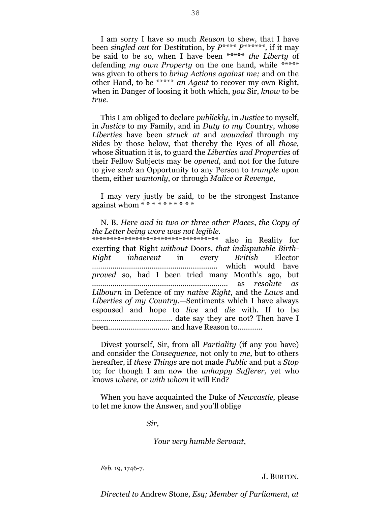I am sorry I have so much *Reason* to shew, that I have been *singled out* for Destitution, by *P\*\*\*\* P\*\*\*\*\*\*,* if it may be said to be so, when I have been \*\*\*\*\* *the Liberty* of defending *my own Property* on the one hand, while *\*\*\*\*\**  was given to others to *bring Actions against me;* and on the other Hand, to be \*\*\*\*\* *an Agent* to recover my own Right, when in Danger *o*f loosing it both which, *you* Sir, *know* t*o* be *true.*

This I am obliged to declare *publickly,* in *Justice* to myself, in *Justice* to my Family, and in *Duty to my* C*o*untry, whose *Liberties* have been *struck at* and *wounded* through my Sides by those below, that thereby the Eyes of all *those,* whose Situation it is, to guard the *Liberties and Properties* of their Fellow Subjects may be *opened,* and not for the future to give *such* an Opportunity to any Person to *trample* upon them, either *wantonly*, or through *Malice* or *Revenge,*

I may very justly be said, to be the strongest Instance against whom \* \* \* *\* \* \** \* \* *\* \**

N. B. *Here and in two or three other Places*, *the Copy of the Letter being wore was not legible.*

\*\*\*\*\*\*\*\*\*\*\*\*\*\*\*\*\*\*\*\*\*\*\*\*\*\*\*\*\*\*\*\*\*\*\* also in Reality for exerting that Right *without* Doors, *that indisputable Birth-Right inhaerent* in every *British* Elector ……………………………………………………. which would have *proved* so, had I been tried many Month's ago, but ………………………………………………………… as *resolute as Lilbourn* in Defence of my *native Right*, and the *Laws* and *Liberties of my Country.*—Sentiments which I have always espoused and hope to *live* and *die* with. If to be ………………………………… date say they are not? Then have I been*…………………………* and have Reason to…………

Divest yourself, Sir, from all *Partiality* (if any you have) and consider the *Consequence,* not only to *me,* but to others hereafter, if *these Things* are not made *Public* and put a *Stop* to; for though I am n*o*w the *unhappy Sufferer,* yet who knows *where,* or *with whom* it will End?

When you have acquainted the Duke of *Newcastle,* please to let me know the Answer, and you'll oblige

*Sir,*

*Your very humble Servant*,

*Feb.* 19, 1746-7.

J. BURTON.

*Directed to* Andrew Stone, *Esq; Member of Parliament, at*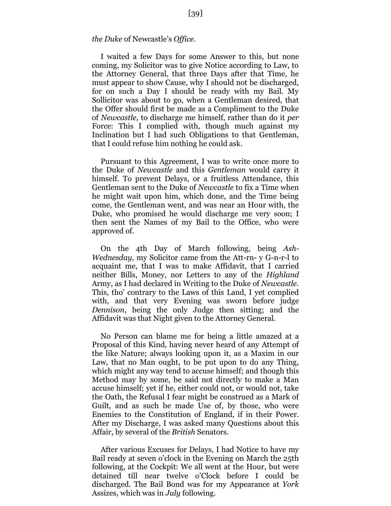#### *the Duke* of Newcastle's *Office.*

I waited a few Days for some Answer to this, but none coming, my Solicitor was to give Notice according to Law, to the Attorney General, that three Days after that Time, he must appear t*o* sh*o*w Cause, why I should not be discharged, f*o*r on such a Day I should be ready with my Bail. My Sollicitor was about to go, when a Gentleman desired, that the Offer should first be made as a Compliment to the Duke of *Newcastle,* to discharge me himself, rather than do it *per* Force: This I complied with, though much against my Inclination but I had such Obligations to that Gentleman, that I c*o*uld refuse him nothing he could ask.

Pursuant to this Agreement, I was to write once more to the Duke of *Newcastle* and this *Gentleman* would carry it himself. To prevent Delays, or a fruitless Attendance, this Gentleman sent to the Duke of *Newcastle* to fix a Time when he might wait upon him, which done, and the Time being come, the Gentleman went, and was near an Hour with, the Duke, who promised he would discharge me very soon; I then sent the Names of my Bail to the Office, who were approved of.

On the 4th Day of March following, being *Ash-Wednesday,* my Solicitor came from the Att-rn- y G-n-r-l to acquaint me, that I was to make Affidavit, that I carried neither Bills, Money, nor Letters to any of the *Highland* Army, as I had declared in Writing to the Duke of *Newcastle*. This, tho' contrary to the Laws of this Land, I yet complied with, and that very Evening was sworn before judge *Dennison*, being the only Judge then sitting; and the Affidavit was that Night given to the Attorney General.

No Person can blame me for being a little amazed at a Proposal of this Kind, having never heard of any Attempt of the like Nature; always looking upon it, as a Maxim in our Law, that no Man ought, to be put upon to do any Thing, which might any way tend to accuse himself; and though this Method may by some, be said not directly to make a Man accuse himself; yet if he, either could not, or would not, take the Oath, the Refusal I fear might be construed as a Mark of Guilt, and as such be made Use of, by those, who were Enemies to the Constitution of England, if in their Power. After my Discharge, I was asked many Questions about this Affair, by several of the *British* Senators.

After various Excuses for Delays, I had Notice to have my Bail ready at seven o'clock in the Evening on March the 25th following, at the Cockpit: We all went at the Hour, but were detained till near twelve o'Clock before I could be discharged. The Bail Bond was for my Appearance at *York* Assizes, which was in *July* following.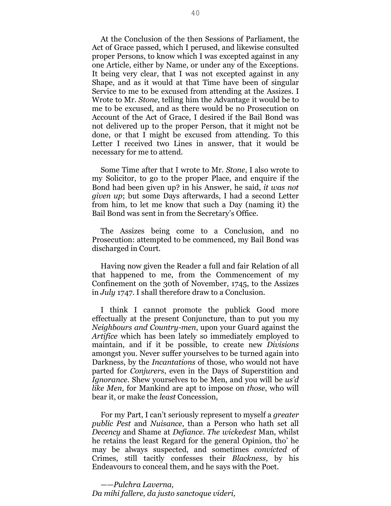At the Conclusion of the then Sessions of Parliament, the Act of Grace passed, which I perused, and likewise consulted proper Persons, to know which I was excepted against in any one Article, either by Name, or under any of the Exceptions. It being very clear, that I was not excepted against in any Shape, and as it would at that Time have been of singular Service to me to be excused from attending at the Assizes. I Wrote to Mr. *Stone*, telling him the Advantage it would be to me to be excused, and as there would be no Prosecution on Account of the Act of Grace, I desired if the Bail Bond was not delivered up to the proper Person, that it might not be done, or that I might be excused from attending. To this Letter I received two Lines in answer, that it would be necessary for me to attend.

Some Time after that I wrote to Mr. *Stone*, I also wrote to my Solicitor, to go to the proper Place, and enquire if the Bond had been given up? in his Answer, he said, *it was not given up*; but some Days afterwards, I had a second Letter from him, to let me know that such a Day (naming it) the Bail Bond was sent in from the Secretary's Office.

The Assizes being come to a Conclusion, and no Prosecution: attempted to be commenced, my Bail Bond was discharged in Court.

Having now given the Reader a full and fair Relation of all that happened to me, from the Commencement of my Confinement on the 30th of November, 1745, to the Assizes in *July* 1747. I shall therefore draw to a Conclusion.

I think I cannot promote the publick Good more effectually at the present Conjuncture, than to put you my *Neighbours and Country-men*, upon your Guard against the *Artifice* which has been lately so immediately employed to maintain, and if it be possible, to create new *Divisions* amongst you. Never suffer yourselves to be turned again into Darkness, by the *Incantations* of those, who would not have parted for *Conjurers*, even in the Days of Superstition and *Ignorance*. Shew yourselves to be Men, and you will be *us'd like Men*, for Mankind are apt to impose on *those*, who will bear it, or make the *least* Concession,

For my Part, I can't seriously represent to myself a *greater public Pest* and *Nuisance*, than a Person who hath set all *Decency* and Shame at *Defiance*. *The wickedest* Man, whilst he retains the least Regard for the general Opinion, tho' he may be always suspected, and sometimes *convicted* of Crimes, still tacitly confesses their *Blackness*, by his Endeavours to conceal them, and he says with the Poet.

——*Pulchra Laverna, Da mihi fallere, da justo sanctoque videri,*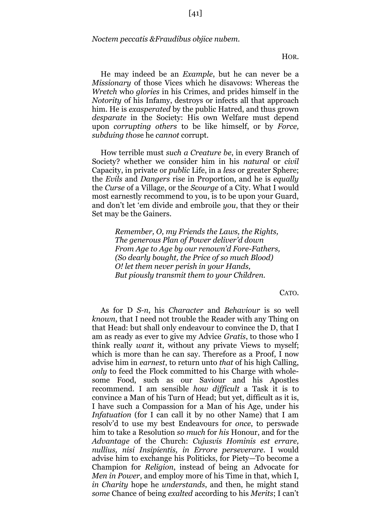*Noctem peccatis &Fraudibus objice nubem.*

HOR.

He may indeed be an *Example*, but he can never be a *Missionary* of those Vices which he disavows: Whereas the *Wretch* who *glories* in his Crimes, and prides himself in the *Notority* of his Infamy, destroys or infects all that approach him. He is *exasperated* by the public Hatred, and thus grown *desparate* in the Society: His own Welfare must depend upon *corrupting others* to be like himself, or by *Force, subduing thos*e he *cannot* corrupt.

How terrible must *such a Creature be*, in every Branch of Society? whether we consider him in his *natural* or *civil* Capacity, in private or *public* Life, in a *less* or greater Sphere; the *Evils* and *Dangers* rise in Proportion, and he is *equally* the *Curse* of a Village, or the *Scourge* of a City. What I would most earnestly recommend to you, is to be upon your Guard, and don't let 'em divide and embroile *you*, that they or their Set may be the Gainers.

> *Remember, O, my Friends the Laws, the Rights, The generous Plan of Power deliver'd down From Age to Age by our renown'd Fore-Fathers, (So dearly bought, the Price of so much Blood) O! let them never perish in your Hands, But piously transmit them to your Children.*

> > CATO.

As for D *S-n*, his *Character* and *Behaviour* is so well *known*, that I need not trouble the Reader with any Thing on that Head: but shall only endeavour to convince the D, that I am as ready as ever to give my Advice *Gratis*, to those who I think really *want* it, without any private Views to myself; which is more than he can say. Therefore as a Proof, I now advise him in *earnest*, to return unto *that* of his high Calling, *only* to feed the Flock committed to his Charge with wholesome Food, such as our Saviour and his Apostles recommend. I am sensible *how difficult* a Task it is to convince a Man of his Turn of Head; but yet, difficult as it is, I have such a Compassion for a Man of his Age, under his *Infatuation* (for I can call it by no other Name) that I am resolv'd to use my best Endeavours for *once*, to perswade him to take a Resolution *so much* for *his* Honour, and for the *Advantage* of the Church: *Cujusvis Hominis est errare, nullius, nisi Insipientis, in Errore perseverare*. I would advise him to exchange his Politicks, for Piety—To become a Champion for *Religion*, instead of being an Advocate for *Men in Power*, and employ more of his Time in that, which I, *in Charity* hope he *understands*, and then, he might stand *some* Chance of being *exalted* according to his *Merits*; I can't

[41]